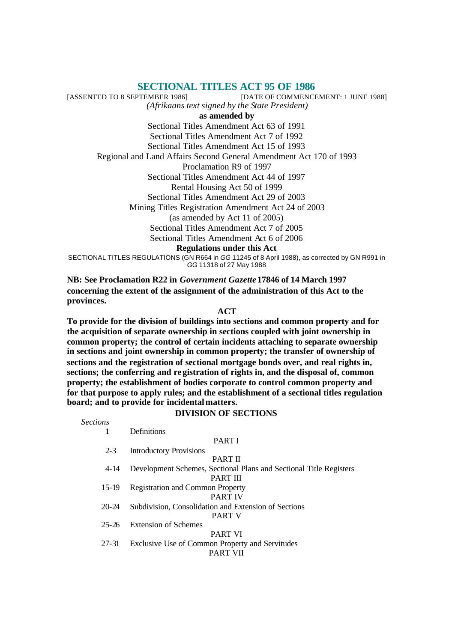# **SECTIONAL TITLES ACT 95 OF 1986**

[ASSENTED TO 8 SEPTEMBER 1986] [DATE OF COMMENCEMENT: 1 JUNE 1988] *(Afrikaans text signed by the State President)* **as amended by** Sectional Titles Amendment Act 63 of 1991 Sectional Titles Amendment Act 7 of 1992 Sectional Titles Amendment Act 15 of 1993 Regional and Land Affairs Second General Amendment Act 170 of 1993 Proclamation R9 of 1997 Sectional Titles Amendment Act 44 of 1997 Rental Housing Act 50 of 1999 Sectional Titles Amendment Act 29 of 2003 Mining Titles Registration Amendment Act 24 of 2003 (as amended by Act 11 of 2005) Sectional Titles Amendment Act 7 of 2005 Sectional Titles Amendment Act 6 of 2006 **Regulations under this Act** SECTIONAL TITLES REGULATIONS (GN R664 in *GG* 11245 of 8 April 1988), as corrected by GN R991 in *GG* 11318 of 27 May 1988

**NB: See Proclamation R22 in** *Government Gazette* **17846 of 14 March 1997 concerning the extent of the assignment of the administration of this Act to the provinces.**

#### **ACT**

**To provide for the division of buildings into sections and common property and for the acquisition of separate ownership in sections coupled with joint ownership in common property; the control of certain incidents attaching to separate ownership in sections and joint ownership in common property; the transfer of ownership of sections and the registration of sectional mortgage bonds over, and real rights in, sections; the conferring and registration of rights in, and the disposal of, common property; the establishment of bodies corporate to control common property and for that purpose to apply rules; and the establishment of a sectional titles regulation board; and to provide for incidental matters.**

### **DIVISION OF SECTIONS**

*Sections*

#### PART I

2-3 Introductory Provisions

1 Definitions

#### PART II

4-14 Development Schemes, Sectional Plans and Sectional Title Registers

PART III

15-19 Registration and Common Property

### PART IV

20-24 Subdivision, Consolidation and Extension of Sections PART V

25-26 Extension of Schemes

### PART VI

27-31 Exclusive Use of Common Property and Servitudes

PART VII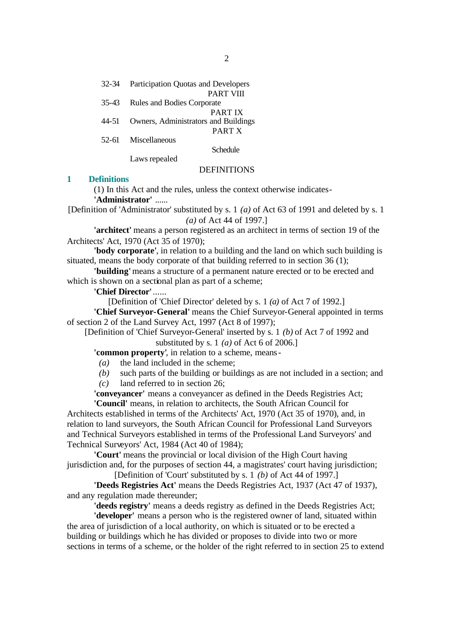35-43 Rules and Bodies Corporate PART IX

44-51 Owners, Administrators and Buildings PART X

52-61 Miscellaneous

Schedule

Laws repealed

### **DEFINITIONS**

### **1 Definitions**

(1) In this Act and the rules, unless the context otherwise indicates-

**'Administrator'** ......

[Definition of 'Administrator' substituted by s. 1 *(a)* of Act 63 of 1991 and deleted by s. 1 *(a)* of Act 44 of 1997.]

**'architect'** means a person registered as an architect in terms of section 19 of the Architects' Act, 1970 (Act 35 of 1970);

**'body corporate'**, in relation to a building and the land on which such building is situated, means the body corporate of that building referred to in section 36 (1);

**'building'** means a structure of a permanent nature erected or to be erected and which is shown on a sectional plan as part of a scheme;

### **'Chief Director'**......

[Definition of 'Chief Director' deleted by s. 1 *(a)* of Act 7 of 1992.]

**'Chief Surveyor-General'** means the Chief Surveyor-General appointed in terms of section 2 of the Land Survey Act, 1997 (Act 8 of 1997);

[Definition of 'Chief Surveyor-General' inserted by s. 1 *(b)* of Act 7 of 1992 and substituted by s. 1 *(a)* of Act 6 of 2006.]

**'common property'**, in relation to a scheme, means-

- *(a)* the land included in the scheme;
- *(b)* such parts of the building or buildings as are not included in a section; and
- *(c)* land referred to in section 26;

**'conveyancer'** means a conveyancer as defined in the Deeds Registries Act; **'Council'** means, in relation to architects, the South African Council for

Architects established in terms of the Architects' Act, 1970 (Act 35 of 1970), and, in relation to land surveyors, the South African Council for Professional Land Surveyors and Technical Surveyors established in terms of the Professional Land Surveyors' and Technical Surveyors' Act, 1984 (Act 40 of 1984);

**'Court'** means the provincial or local division of the High Court having jurisdiction and, for the purposes of section 44, a magistrates' court having jurisdiction; [Definition of 'Court' substituted by s. 1 *(b)* of Act 44 of 1997.]

**'Deeds Registries Act'** means the Deeds Registries Act, 1937 (Act 47 of 1937), and any regulation made thereunder;

**'deeds registry'** means a deeds registry as defined in the Deeds Registries Act;

**'developer'** means a person who is the registered owner of land, situated within the area of jurisdiction of a local authority, on which is situated or to be erected a building or buildings which he has divided or proposes to divide into two or more sections in terms of a scheme, or the holder of the right referred to in section 25 to extend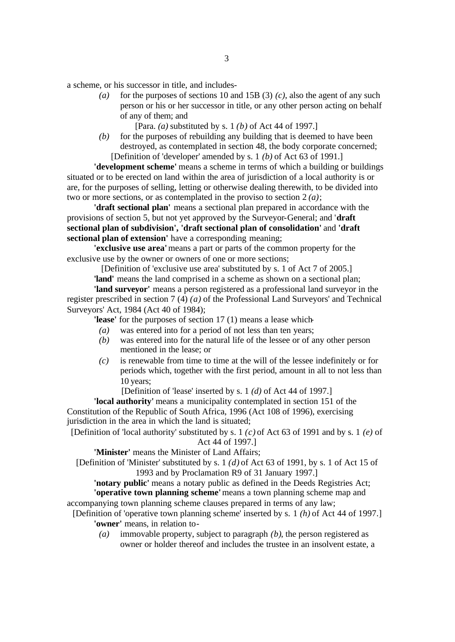a scheme, or his successor in title, and includes-

*(a)* for the purposes of sections 10 and 15B (3) *(c)*, also the agent of any such person or his or her successor in title, or any other person acting on behalf of any of them; and

[Para. *(a)* substituted by s. 1 *(b)* of Act 44 of 1997.]

*(b)* for the purposes of rebuilding any building that is deemed to have been destroyed, as contemplated in section 48, the body corporate concerned; [Definition of 'developer' amended by s. 1 *(b)* of Act 63 of 1991.]

**'development scheme'** means a scheme in terms of which a building or buildings situated or to be erected on land within the area of jurisdiction of a local authority is or are, for the purposes of selling, letting or otherwise dealing therewith, to be divided into two or more sections, or as contemplated in the proviso to section 2 *(a)*;

**'draft sectional plan'** means a sectional plan prepared in accordance with the provisions of section 5, but not yet approved by the Surveyor-General; and '**draft sectional plan of subdivision', 'draft sectional plan of consolidation'** and **'draft sectional plan of extension'** have a corresponding meaning;

**'exclusive use area'** means a part or parts of the common property for the exclusive use by the owner or owners of one or more sections;

[Definition of 'exclusive use area' substituted by s. 1 of Act 7 of 2005.]

**'land'** means the land comprised in a scheme as shown on a sectional plan;

**'land surveyor'** means a person registered as a professional land surveyor in the register prescribed in section 7 (4) *(a)* of the Professional Land Surveyors' and Technical Surveyors' Act, 1984 (Act 40 of 1984);

**'lease'** for the purposes of section 17 (1) means a lease which-

- *(a)* was entered into for a period of not less than ten years;
- *(b)* was entered into for the natural life of the lessee or of any other person mentioned in the lease; or
- *(c)* is renewable from time to time at the will of the lessee indefinitely or for periods which, together with the first period, amount in all to not less than 10 years;
	- [Definition of 'lease' inserted by s. 1 *(d)* of Act 44 of 1997.]

**'local authority'** means a municipality contemplated in section 151 of the Constitution of the Republic of South Africa, 1996 (Act 108 of 1996), exercising jurisdiction in the area in which the land is situated;

[Definition of 'local authority' substituted by s. 1 *(c)* of Act 63 of 1991 and by s. 1 *(e)* of Act 44 of 1997.]

**'Minister'** means the Minister of Land Affairs;

[Definition of 'Minister' substituted by s. 1 *(d)* of Act 63 of 1991, by s. 1 of Act 15 of 1993 and by Proclamation R9 of 31 January 1997.]

**'notary public'** means a notary public as defined in the Deeds Registries Act; **'operative town planning scheme'** means a town planning scheme map and accompanying town planning scheme clauses prepared in terms of any law;

- [Definition of 'operative town planning scheme' inserted by s. 1 *(h)* of Act 44 of 1997.] **'owner'** means, in relation to-
	- *(a)* immovable property, subject to paragraph *(b)*, the person registered as owner or holder thereof and includes the trustee in an insolvent estate, a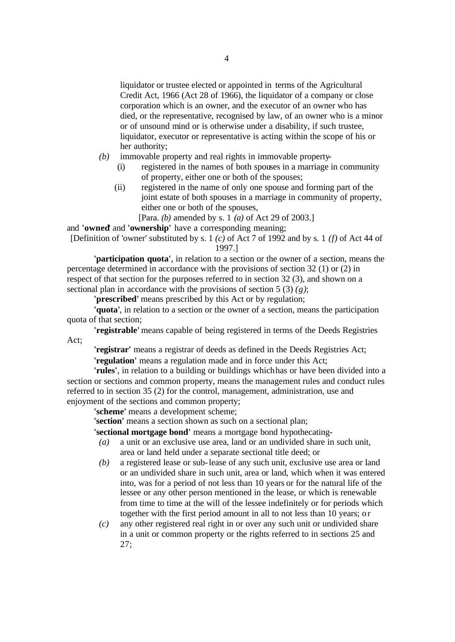liquidator or trustee elected or appointed in terms of the Agricultural Credit Act, 1966 (Act 28 of 1966), the liquidator of a company or close corporation which is an owner, and the executor of an owner who has died, or the representative, recognised by law, of an owner who is a minor or of unsound mind or is otherwise under a disability, if such trustee, liquidator, executor or representative is acting within the scope of his or her authority;

- *(b)* immovable property and real rights in immovable property-
	- (i) registered in the names of both spouses in a marriage in community of property, either one or both of the spouses;
	- (ii) registered in the name of only one spouse and forming part of the joint estate of both spouses in a marriage in community of property, either one or both of the spouses,

[Para. *(b)* amended by s. 1 *(a)* of Act 29 of 2003.]

and **'owned**' and **'ownership'** have a corresponding meaning;

[Definition of 'owner' substituted by s. 1 *(c)* of Act 7 of 1992 and by s. 1 *(f)* of Act 44 of 1997.]

**'participation quota'**, in relation to a section or the owner of a section, means the percentage determined in accordance with the provisions of section 32 (1) or (2) in respect of that section for the purposes referred to in section 32 (3), and shown on a sectional plan in accordance with the provisions of section 5 (3) *(g)*;

**'prescribed'** means prescribed by this Act or by regulation;

**'quota'**, in relation to a section or the owner of a section, means the participation quota of that section;

**'registrable'** means capable of being registered in terms of the Deeds Registries Act;

**'registrar'** means a registrar of deeds as defined in the Deeds Registries Act; **'regulation'** means a regulation made and in force under this Act;

**'rules'**, in relation to a building or buildings which has or have been divided into a section or sections and common property, means the management rules and conduct rules referred to in section 35 (2) for the control, management, administration, use and enjoyment of the sections and common property;

**'scheme'** means a development scheme;

**'section'** means a section shown as such on a sectional plan;

**'sectional mortgage bond'** means a mortgage bond hypothecating-

- *(a)* a unit or an exclusive use area, land or an undivided share in such unit, area or land held under a separate sectional title deed; or
- *(b)* a registered lease or sub-lease of any such unit, exclusive use area or land or an undivided share in such unit, area or land, which when it was entered into, was for a period of not less than 10 years or for the natural life of the lessee or any other person mentioned in the lease, or which is renewable from time to time at the will of the lessee indefinitely or for periods which together with the first period amount in all to not less than 10 years; or
- *(c)* any other registered real right in or over any such unit or undivided share in a unit or common property or the rights referred to in sections 25 and 27;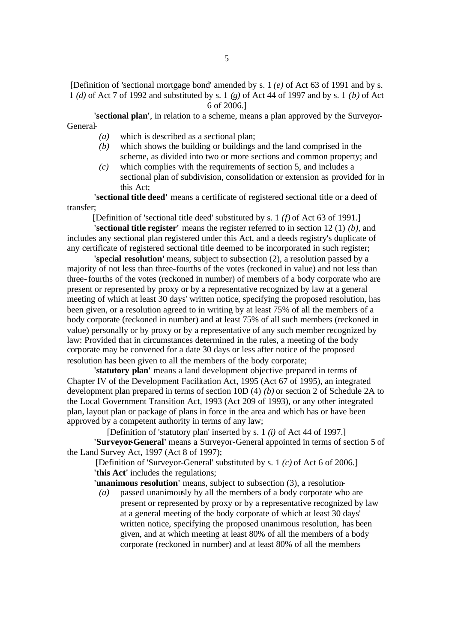[Definition of 'sectional mortgage bond' amended by s. 1 *(e)* of Act 63 of 1991 and by s. 1 *(d)* of Act 7 of 1992 and substituted by s. 1 *(g)* of Act 44 of 1997 and by s. 1 *(b)* of Act 6 of 2006.]

**'sectional plan'**, in relation to a scheme, means a plan approved by the Surveyor-General-

- *(a)* which is described as a sectional plan;
- *(b)* which shows the building or buildings and the land comprised in the scheme, as divided into two or more sections and common property; and
- *(c)* which complies with the requirements of section 5, and includes a sectional plan of subdivision, consolidation or extension as provided for in this Act;

**'sectional title deed'** means a certificate of registered sectional title or a deed of transfer;

[Definition of 'sectional title deed' substituted by s. 1 *(f)* of Act 63 of 1991.]

**'sectional title register'** means the register referred to in section 12 (1) *(b)*, and includes any sectional plan registered under this Act, and a deeds registry's duplicate of any certificate of registered sectional title deemed to be incorporated in such register;

**'special resolution'** means, subject to subsection (2), a resolution passed by a majority of not less than three-fourths of the votes (reckoned in value) and not less than three-fourths of the votes (reckoned in number) of members of a body corporate who are present or represented by proxy or by a representative recognized by law at a general meeting of which at least 30 days' written notice, specifying the proposed resolution, has been given, or a resolution agreed to in writing by at least 75% of all the members of a body corporate (reckoned in number) and at least 75% of all such members (reckoned in value) personally or by proxy or by a representative of any such member recognized by law: Provided that in circumstances determined in the rules, a meeting of the body corporate may be convened for a date 30 days or less after notice of the proposed resolution has been given to all the members of the body corporate;

**'statutory plan'** means a land development objective prepared in terms of Chapter IV of the Development Facilitation Act, 1995 (Act 67 of 1995), an integrated development plan prepared in terms of section 10D (4) *(b)* or section 2 of Schedule 2A to the Local Government Transition Act, 1993 (Act 209 of 1993), or any other integrated plan, layout plan or package of plans in force in the area and which has or have been approved by a competent authority in terms of any law;

[Definition of 'statutory plan' inserted by s. 1 *(i)* of Act 44 of 1997.] **'Surveyor-General'** means a Surveyor-General appointed in terms of section 5 of the Land Survey Act, 1997 (Act 8 of 1997);

[Definition of 'Surveyor-General' substituted by s. 1 *(c)* of Act 6 of 2006.] **'this Act'** includes the regulations;

**'unanimous resolution'** means, subject to subsection (3), a resolution-

*(a)* passed unanimously by all the members of a body corporate who are present or represented by proxy or by a representative recognized by law at a general meeting of the body corporate of which at least 30 days' written notice, specifying the proposed unanimous resolution, has been given, and at which meeting at least 80% of all the members of a body corporate (reckoned in number) and at least 80% of all the members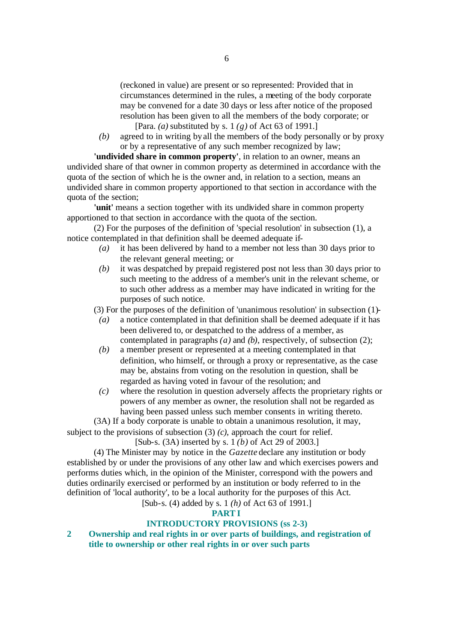(reckoned in value) are present or so represented: Provided that in circumstances determined in the rules, a meeting of the body corporate may be convened for a date 30 days or less after notice of the proposed resolution has been given to all the members of the body corporate; or

[Para. *(a)* substituted by s. 1 *(g)* of Act 63 of 1991.]

*(b)* agreed to in writing by all the members of the body personally or by proxy or by a representative of any such member recognized by law;

**'undivided share in common property'**, in relation to an owner, means an undivided share of that owner in common property as determined in accordance with the quota of the section of which he is the owner and, in relation to a section, means an undivided share in common property apportioned to that section in accordance with the quota of the section;

**'unit'** means a section together with its undivided share in common property apportioned to that section in accordance with the quota of the section.

(2) For the purposes of the definition of 'special resolution' in subsection (1), a notice contemplated in that definition shall be deemed adequate if-

- *(a)* it has been delivered by hand to a member not less than 30 days prior to the relevant general meeting; or
- *(b)* it was despatched by prepaid registered post not less than 30 days prior to such meeting to the address of a member's unit in the relevant scheme, or to such other address as a member may have indicated in writing for the purposes of such notice.

(3) For the purposes of the definition of 'unanimous resolution' in subsection (1)-

- *(a)* a notice contemplated in that definition shall be deemed adequate if it has been delivered to, or despatched to the address of a member, as contemplated in paragraphs *(a)* and *(b)*, respectively, of subsection (2);
- *(b)* a member present or represented at a meeting contemplated in that definition, who himself, or through a proxy or representative, as the case may be, abstains from voting on the resolution in question, shall be regarded as having voted in favour of the resolution; and
- *(c)* where the resolution in question adversely affects the proprietary rights or powers of any member as owner, the resolution shall not be regarded as having been passed unless such member consents in writing thereto.

(3A) If a body corporate is unable to obtain a unanimous resolution, it may, subject to the provisions of subsection (3) *(c)*, approach the court for relief.

[Sub-s. (3A) inserted by s. 1 *(b)* of Act 29 of 2003.]

(4) The Minister may by notice in the *Gazette* declare any institution or body established by or under the provisions of any other law and which exercises powers and performs duties which, in the opinion of the Minister, correspond with the powers and duties ordinarily exercised or performed by an institution or body referred to in the definition of 'local authority', to be a local authority for the purposes of this Act.

[Sub-s. (4) added by s. 1 *(h)* of Act 63 of 1991.]

### **PART I**

# **INTRODUCTORY PROVISIONS (ss 2-3)**

**2 Ownership and real rights in or over parts of buildings, and registration of title to ownership or other real rights in or over such parts**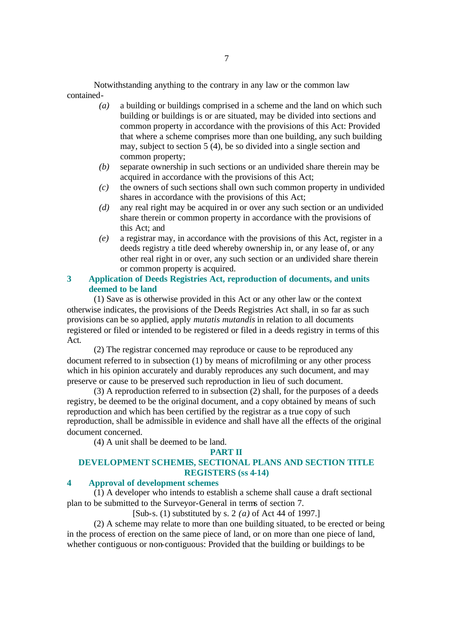Notwithstanding anything to the contrary in any law or the common law contained-

- *(a)* a building or buildings comprised in a scheme and the land on which such building or buildings is or are situated, may be divided into sections and common property in accordance with the provisions of this Act: Provided that where a scheme comprises more than one building, any such building may, subject to section  $5(4)$ , be so divided into a single section and common property;
- *(b)* separate ownership in such sections or an undivided share therein may be acquired in accordance with the provisions of this Act;
- *(c)* the owners of such sections shall own such common property in undivided shares in accordance with the provisions of this Act;
- *(d)* any real right may be acquired in or over any such section or an undivided share therein or common property in accordance with the provisions of this Act; and
- *(e)* a registrar may, in accordance with the provisions of this Act, register in a deeds registry a title deed whereby ownership in, or any lease of, or any other real right in or over, any such section or an undivided share therein or common property is acquired.

## **3 Application of Deeds Registries Act, reproduction of documents, and units deemed to be land**

(1) Save as is otherwise provided in this Act or any other law or the context otherwise indicates, the provisions of the Deeds Registries Act shall, in so far as such provisions can be so applied, apply *mutatis mutandis* in relation to all documents registered or filed or intended to be registered or filed in a deeds registry in terms of this Act.

(2) The registrar concerned may reproduce or cause to be reproduced any document referred to in subsection (1) by means of microfilming or any other process which in his opinion accurately and durably reproduces any such document, and may preserve or cause to be preserved such reproduction in lieu of such document.

(3) A reproduction referred to in subsection (2) shall, for the purposes of a deeds registry, be deemed to be the original document, and a copy obtained by means of such reproduction and which has been certified by the registrar as a true copy of such reproduction, shall be admissible in evidence and shall have all the effects of the original document concerned.

(4) A unit shall be deemed to be land.

#### **PART II**

# **DEVELOPMENT SCHEMES, SECTIONAL PLANS AND SECTION TITLE REGISTERS (ss 4-14)**

# **4 Approval of development schemes**

(1) A developer who intends to establish a scheme shall cause a draft sectional plan to be submitted to the Surveyor-General in terms of section 7.

[Sub-s. (1) substituted by s. 2 *(a)* of Act 44 of 1997.]

(2) A scheme may relate to more than one building situated, to be erected or being in the process of erection on the same piece of land, or on more than one piece of land, whether contiguous or non-contiguous: Provided that the building or buildings to be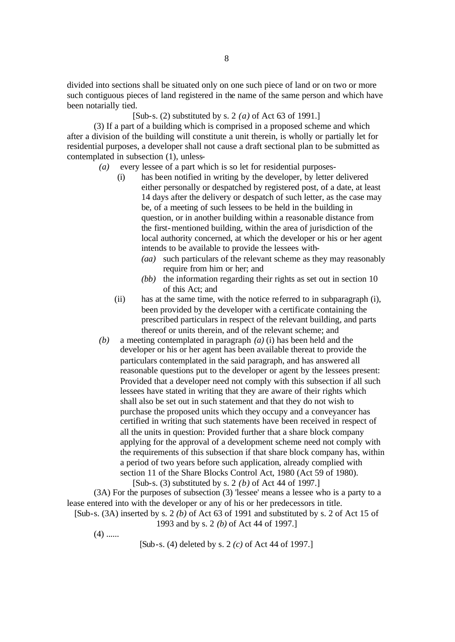divided into sections shall be situated only on one such piece of land or on two or more such contiguous pieces of land registered in the name of the same person and which have been notarially tied.

[Sub-s. (2) substituted by s. 2 *(a)* of Act 63 of 1991.]

(3) If a part of a building which is comprised in a proposed scheme and which after a division of the building will constitute a unit therein, is wholly or partially let for residential purposes, a developer shall not cause a draft sectional plan to be submitted as contemplated in subsection (1), unless-

- *(a)* every lessee of a part which is so let for residential purposes-
	- (i) has been notified in writing by the developer, by letter delivered either personally or despatched by registered post, of a date, at least 14 days after the delivery or despatch of such letter, as the case may be, of a meeting of such lessees to be held in the building in question, or in another building within a reasonable distance from the first-mentioned building, within the area of jurisdiction of the local authority concerned, at which the developer or his or her agent intends to be available to provide the lessees with-
		- *(aa)* such particulars of the relevant scheme as they may reasonably require from him or her; and
		- *(bb)* the information regarding their rights as set out in section 10 of this Act; and
	- (ii) has at the same time, with the notice referred to in subparagraph (i), been provided by the developer with a certificate containing the prescribed particulars in respect of the relevant building, and parts thereof or units therein, and of the relevant scheme; and
- *(b)* a meeting contemplated in paragraph *(a)* (i) has been held and the developer or his or her agent has been available thereat to provide the particulars contemplated in the said paragraph, and has answered all reasonable questions put to the developer or agent by the lessees present: Provided that a developer need not comply with this subsection if all such lessees have stated in writing that they are aware of their rights which shall also be set out in such statement and that they do not wish to purchase the proposed units which they occupy and a conveyancer has certified in writing that such statements have been received in respect of all the units in question: Provided further that a share block company applying for the approval of a development scheme need not comply with the requirements of this subsection if that share block company has, within a period of two years before such application, already complied with section 11 of the Share Blocks Control Act, 1980 (Act 59 of 1980). [Sub-s. (3) substituted by s. 2 *(b)* of Act 44 of 1997.]

(3A) For the purposes of subsection (3) 'lessee' means a lessee who is a party to a lease entered into with the developer or any of his or her predecessors in title. [Sub-s. (3A) inserted by s. 2 *(b)* of Act 63 of 1991 and substituted by s. 2 of Act 15 of

- 1993 and by s. 2 *(b)* of Act 44 of 1997.]
	- $(4)$  ......

[Sub-s. (4) deleted by s. 2 *(c)* of Act 44 of 1997.]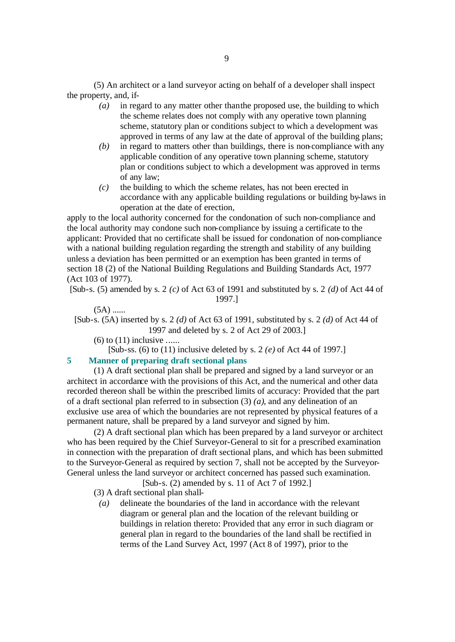(5) An architect or a land surveyor acting on behalf of a developer shall inspect the property, and, if-

- *(a)* in regard to any matter other than the proposed use, the building to which the scheme relates does not comply with any operative town planning scheme, statutory plan or conditions subject to which a development was approved in terms of any law at the date of approval of the building plans;
- *(b)* in regard to matters other than buildings, there is non-compliance with any applicable condition of any operative town planning scheme, statutory plan or conditions subject to which a development was approved in terms of any law;
- *(c)* the building to which the scheme relates, has not been erected in accordance with any applicable building regulations or building by-laws in operation at the date of erection,

apply to the local authority concerned for the condonation of such non-compliance and the local authority may condone such non-compliance by issuing a certificate to the applicant: Provided that no certificate shall be issued for condonation of non-compliance with a national building regulation regarding the strength and stability of any building unless a deviation has been permitted or an exemption has been granted in terms of section 18 (2) of the National Building Regulations and Building Standards Act, 1977 (Act 103 of 1977).

[Sub-s. (5) amended by s. 2 *(c)* of Act 63 of 1991 and substituted by s. 2 *(d)* of Act 44 of 1997.]

#### $(5A)$  ......

[Sub-s. (5A) inserted by s. 2 *(d)* of Act 63 of 1991, substituted by s. 2 *(d)* of Act 44 of 1997 and deleted by s. 2 of Act 29 of 2003.]

- $(6)$  to  $(11)$  inclusive ......
	- [Sub-ss. (6) to (11) inclusive deleted by s. 2 *(e)* of Act 44 of 1997.]

# **5 Manner of preparing draft sectional plans**

(1) A draft sectional plan shall be prepared and signed by a land surveyor or an architect in accordance with the provisions of this Act, and the numerical and other data recorded thereon shall be within the prescribed limits of accuracy: Provided that the part of a draft sectional plan referred to in subsection (3) *(a)*, and any delineation of an exclusive use area of which the boundaries are not represented by physical features of a permanent nature, shall be prepared by a land surveyor and signed by him.

(2) A draft sectional plan which has been prepared by a land surveyor or architect who has been required by the Chief Surveyor-General to sit for a prescribed examination in connection with the preparation of draft sectional plans, and which has been submitted to the Surveyor-General as required by section 7, shall not be accepted by the Surveyor-General unless the land surveyor or architect concerned has passed such examination.

[Sub-s. (2) amended by s. 11 of Act 7 of 1992.]

- (3) A draft sectional plan shall-
- *(a)* delineate the boundaries of the land in accordance with the relevant diagram or general plan and the location of the relevant building or buildings in relation thereto: Provided that any error in such diagram or general plan in regard to the boundaries of the land shall be rectified in terms of the Land Survey Act, 1997 (Act 8 of 1997), prior to the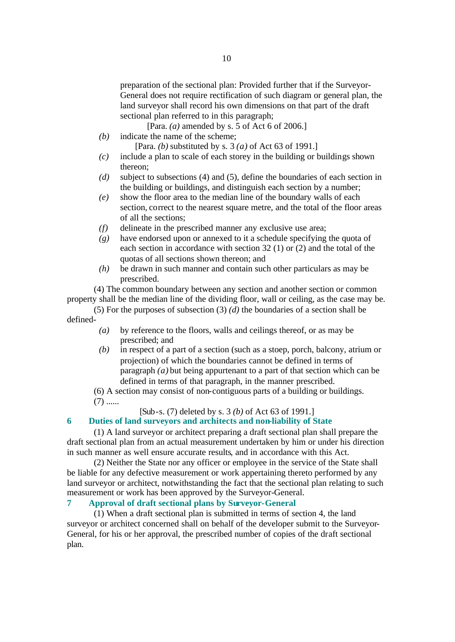preparation of the sectional plan: Provided further that if the Surveyor-General does not require rectification of such diagram or general plan, the land surveyor shall record his own dimensions on that part of the draft sectional plan referred to in this paragraph;

[Para. *(a)* amended by s. 5 of Act 6 of 2006.]

- *(b)* indicate the name of the scheme;
	- [Para. *(b)* substituted by s. 3 *(a)* of Act 63 of 1991.]
- *(c)* include a plan to scale of each storey in the building or buildings shown thereon;
- *(d)* subject to subsections (4) and (5), define the boundaries of each section in the building or buildings, and distinguish each section by a number;
- *(e)* show the floor area to the median line of the boundary walls of each section, correct to the nearest square metre, and the total of the floor areas of all the sections;
- *(f)* delineate in the prescribed manner any exclusive use area;
- *(g)* have endorsed upon or annexed to it a schedule specifying the quota of each section in accordance with section 32 (1) or (2) and the total of the quotas of all sections shown thereon; and
- *(h)* be drawn in such manner and contain such other particulars as may be prescribed.

(4) The common boundary between any section and another section or common property shall be the median line of the dividing floor, wall or ceiling, as the case may be.

(5) For the purposes of subsection (3) *(d)* the boundaries of a section shall be defined-

- *(a)* by reference to the floors, walls and ceilings thereof, or as may be prescribed; and
- *(b)* in respect of a part of a section (such as a stoep, porch, balcony, atrium or projection) of which the boundaries cannot be defined in terms of paragraph *(a)* but being appurtenant to a part of that section which can be defined in terms of that paragraph, in the manner prescribed.

(6) A section may consist of non-contiguous parts of a building or buildings.

 $(7)$  ......

# [Sub-s. (7) deleted by s. 3 *(b)* of Act 63 of 1991.]

## **6 Duties of land surveyors and architects and non-liability of State**

(1) A land surveyor or architect preparing a draft sectional plan shall prepare the draft sectional plan from an actual measurement undertaken by him or under his direction in such manner as well ensure accurate results, and in accordance with this Act.

(2) Neither the State nor any officer or employee in the service of the State shall be liable for any defective measurement or work appertaining thereto performed by any land surveyor or architect, notwithstanding the fact that the sectional plan relating to such measurement or work has been approved by the Surveyor-General.

# **7 Approval of draft sectional plans by Surveyor-General**

(1) When a draft sectional plan is submitted in terms of section 4, the land surveyor or architect concerned shall on behalf of the developer submit to the Surveyor-General, for his or her approval, the prescribed number of copies of the draft sectional plan.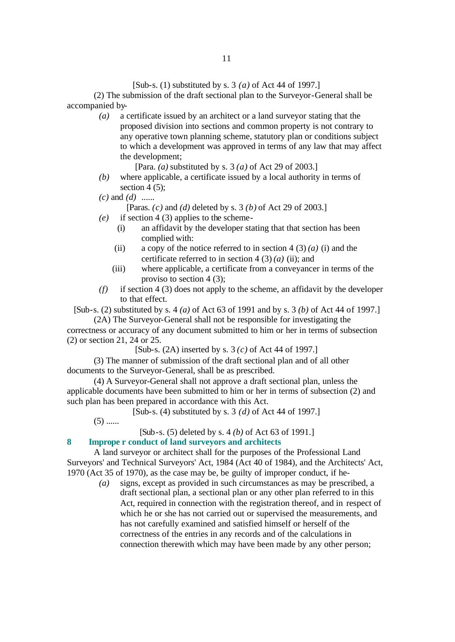### [Sub-s. (1) substituted by s. 3 *(a)* of Act 44 of 1997.]

(2) The submission of the draft sectional plan to the Surveyor-General shall be accompanied by-

> *(a)* a certificate issued by an architect or a land surveyor stating that the proposed division into sections and common property is not contrary to any operative town planning scheme, statutory plan or conditions subject to which a development was approved in terms of any law that may affect the development;

> > [Para. *(a)* substituted by s. 3 *(a)* of Act 29 of 2003.]

- *(b)* where applicable, a certificate issued by a local authority in terms of section 4  $(5)$ ;
- *(c)* and *(d)* ......

[Paras. *(c)* and *(d)* deleted by s. 3 *(b)* of Act 29 of 2003.]

- *(e)* if section 4 (3) applies to the scheme-
	- (i) an affidavit by the developer stating that that section has been complied with:
	- (ii) a copy of the notice referred to in section  $4(3)(a)$  *(i)* and the certificate referred to in section  $4(3)(a)$  (ii); and
	- (iii) where applicable, a certificate from a conveyancer in terms of the proviso to section 4 (3);
- *(f)* if section 4 (3) does not apply to the scheme, an affidavit by the developer to that effect.

[Sub-s. (2) substituted by s. 4 *(a)* of Act 63 of 1991 and by s. 3 *(b)* of Act 44 of 1997.] (2A) The Surveyor-General shall not be responsible for investigating the

correctness or accuracy of any document submitted to him or her in terms of subsection (2) or section 21, 24 or 25.

[Sub-s. (2A) inserted by s. 3 *(c)* of Act 44 of 1997.]

(3) The manner of submission of the draft sectional plan and of all other documents to the Surveyor-General, shall be as prescribed.

(4) A Surveyor-General shall not approve a draft sectional plan, unless the applicable documents have been submitted to him or her in terms of subsection (2) and such plan has been prepared in accordance with this Act.

[Sub-s. (4) substituted by s. 3 *(d)* of Act 44 of 1997.]

 $(5)$  ......

[Sub-s. (5) deleted by s. 4 *(b)* of Act 63 of 1991.]

### **8 Imprope r conduct of land surveyors and architects**

A land surveyor or architect shall for the purposes of the Professional Land Surveyors' and Technical Surveyors' Act, 1984 (Act 40 of 1984), and the Architects' Act, 1970 (Act 35 of 1970), as the case may be, be guilty of improper conduct, if he-

> *(a)* signs, except as provided in such circumstances as may be prescribed, a draft sectional plan, a sectional plan or any other plan referred to in this Act, required in connection with the registration thereof, and in respect of which he or she has not carried out or supervised the measurements, and has not carefully examined and satisfied himself or herself of the correctness of the entries in any records and of the calculations in connection therewith which may have been made by any other person;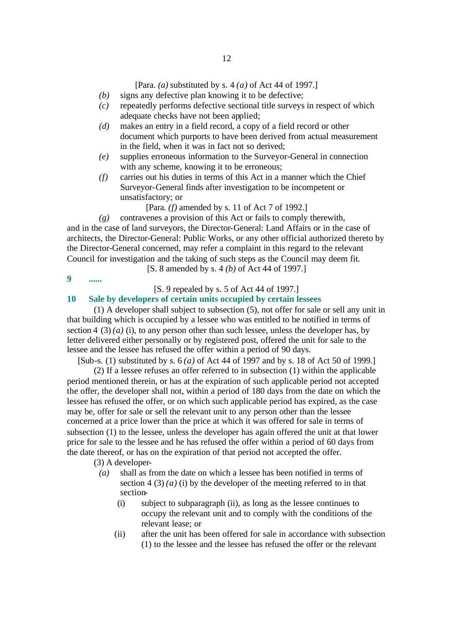[Para. *(a)* substituted by s. 4 *(a)* of Act 44 of 1997.]

- *(b)* signs any defective plan knowing it to be defective;
- *(c)* repeatedly performs defective sectional title surveys in respect of which adequate checks have not been applied;
- *(d)* makes an entry in a field record, a copy of a field record or other document which purports to have been derived from actual measurement in the field, when it was in fact not so derived;
- *(e)* supplies erroneous information to the Surveyor-General in connection with any scheme, knowing it to be erroneous;
- *(f)* carries out his duties in terms of this Act in a manner which the Chief Surveyor-General finds after investigation to be incompetent or unsatisfactory; or

[Para. *(f)* amended by s. 11 of Act 7 of 1992.]

*(g)* contravenes a provision of this Act or fails to comply therewith, and in the case of land surveyors, the Director-General: Land Affairs or in the case of architects, the Director-General: Public Works, or any other official authorized thereto by the Director-General concerned, may refer a complaint in this regard to the relevant Council for investigation and the taking of such steps as the Council may deem fit. [S. 8 amended by s. 4 *(b)* of Act 44 of 1997.]

**9 ......**

[S. 9 repealed by s. 5 of Act 44 of 1997.]

# **10 Sale by developers of certain units occupied by certain lessees**

(1) A developer shall subject to subsection (5), not offer for sale or sell any unit in that building which is occupied by a lessee who was entitled to be notified in terms of section 4 (3) (*a*) (i), to any person other than such lessee, unless the developer has, by letter delivered either personally or by registered post, offered the unit for sale to the lessee and the lessee has refused the offer within a period of 90 days.

[Sub-s. (1) substituted by s. 6 *(a)* of Act 44 of 1997 and by s. 18 of Act 50 of 1999.]

(2) If a lessee refuses an offer referred to in subsection (1) within the applicable period mentioned therein, or has at the expiration of such applicable period not accepted the offer, the developer shall not, within a period of 180 days from the date on which the lessee has refused the offer, or on which such applicable period has expired, as the case may be, offer for sale or sell the relevant unit to any person other than the lessee concerned at a price lower than the price at which it was offered for sale in terms of subsection (1) to the lessee, unless the developer has again offered the unit at that lower price for sale to the lessee and he has refused the offer within a period of 60 days from the date thereof, or has on the expiration of that period not accepted the offer.

(3) A developer-

- *(a)* shall as from the date on which a lessee has been notified in terms of section  $4(3)(a)(i)$  by the developer of the meeting referred to in that section-
	- (i) subject to subparagraph (ii), as long as the lessee continues to occupy the relevant unit and to comply with the conditions of the relevant lease; or
	- (ii) after the unit has been offered for sale in accordance with subsection (1) to the lessee and the lessee has refused the offer or the relevant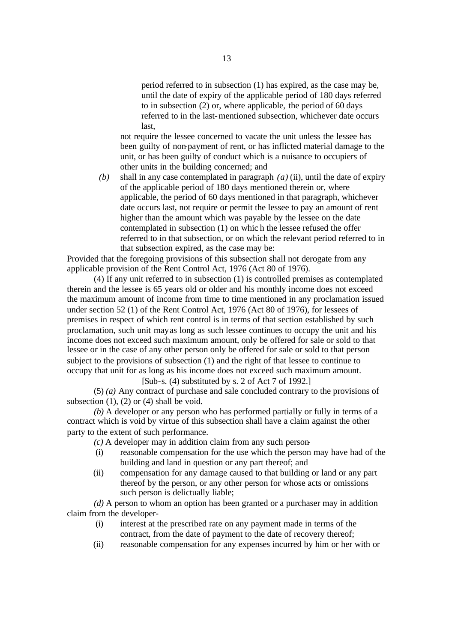period referred to in subsection (1) has expired, as the case may be, until the date of expiry of the applicable period of 180 days referred to in subsection (2) or, where applicable, the period of 60 days referred to in the last-mentioned subsection, whichever date occurs last,

not require the lessee concerned to vacate the unit unless the lessee has been guilty of non-payment of rent, or has inflicted material damage to the unit, or has been guilty of conduct which is a nuisance to occupiers of other units in the building concerned; and

*(b)* shall in any case contemplated in paragraph *(a)* (ii), until the date of expiry of the applicable period of 180 days mentioned therein or, where applicable, the period of 60 days mentioned in that paragraph, whichever date occurs last, not require or permit the lessee to pay an amount of rent higher than the amount which was payable by the lessee on the date contemplated in subsection (1) on whic h the lessee refused the offer referred to in that subsection, or on which the relevant period referred to in that subsection expired, as the case may be:

Provided that the foregoing provisions of this subsection shall not derogate from any applicable provision of the Rent Control Act, 1976 (Act 80 of 1976).

(4) If any unit referred to in subsection (1) is controlled premises as contemplated therein and the lessee is 65 years old or older and his monthly income does not exceed the maximum amount of income from time to time mentioned in any proclamation issued under section 52 (1) of the Rent Control Act, 1976 (Act 80 of 1976), for lessees of premises in respect of which rent control is in terms of that section established by such proclamation, such unit may as long as such lessee continues to occupy the unit and his income does not exceed such maximum amount, only be offered for sale or sold to that lessee or in the case of any other person only be offered for sale or sold to that person subject to the provisions of subsection (1) and the right of that lessee to continue to occupy that unit for as long as his income does not exceed such maximum amount.

[Sub-s. (4) substituted by s. 2 of Act 7 of 1992.]

(5) *(a)* Any contract of purchase and sale concluded contrary to the provisions of subsection  $(1)$ ,  $(2)$  or  $(4)$  shall be void.

*(b)* A developer or any person who has performed partially or fully in terms of a contract which is void by virtue of this subsection shall have a claim against the other party to the extent of such performance.

*(c)* A developer may in addition claim from any such person-

- (i) reasonable compensation for the use which the person may have had of the building and land in question or any part thereof; and
- (ii) compensation for any damage caused to that building or land or any part thereof by the person, or any other person for whose acts or omissions such person is delictually liable;

*(d)* A person to whom an option has been granted or a purchaser may in addition claim from the developer-

- (i) interest at the prescribed rate on any payment made in terms of the contract, from the date of payment to the date of recovery thereof;
- (ii) reasonable compensation for any expenses incurred by him or her with or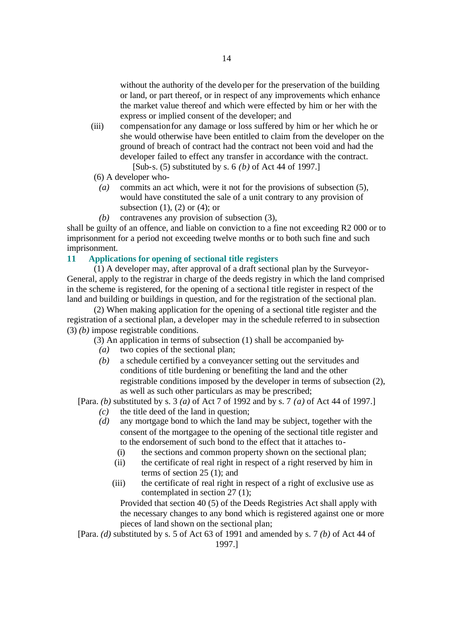without the authority of the developer for the preservation of the building or land, or part thereof, or in respect of any improvements which enhance the market value thereof and which were effected by him or her with the express or implied consent of the developer; and

- (iii) compensation for any damage or loss suffered by him or her which he or she would otherwise have been entitled to claim from the developer on the ground of breach of contract had the contract not been void and had the developer failed to effect any transfer in accordance with the contract. [Sub-s. (5) substituted by s. 6 *(b)* of Act 44 of 1997.]
- (6) A developer who-
	- *(a)* commits an act which, were it not for the provisions of subsection (5), would have constituted the sale of a unit contrary to any provision of subsection  $(1)$ ,  $(2)$  or  $(4)$ ; or
	- *(b)* contravenes any provision of subsection (3),

shall be guilty of an offence, and liable on conviction to a fine not exceeding R2 000 or to imprisonment for a period not exceeding twelve months or to both such fine and such imprisonment.

### **11 Applications for opening of sectional title registers**

(1) A developer may, after approval of a draft sectional plan by the Surveyor-General, apply to the registrar in charge of the deeds registry in which the land comprised in the scheme is registered, for the opening of a sectiona l title register in respect of the land and building or buildings in question, and for the registration of the sectional plan.

(2) When making application for the opening of a sectional title register and the registration of a sectional plan, a developer may in the schedule referred to in subsection (3) *(b)* impose registrable conditions.

- (3) An application in terms of subsection (1) shall be accompanied by-
	- *(a)* two copies of the sectional plan;
	- *(b)* a schedule certified by a conveyancer setting out the servitudes and conditions of title burdening or benefiting the land and the other registrable conditions imposed by the developer in terms of subsection (2), as well as such other particulars as may be prescribed;

[Para. *(b)* substituted by s. 3 *(a)* of Act 7 of 1992 and by s. 7 *(a)* of Act 44 of 1997.]

- *(c)* the title deed of the land in question;
- *(d)* any mortgage bond to which the land may be subject, together with the consent of the mortgagee to the opening of the sectional title register and to the endorsement of such bond to the effect that it attaches to-
	- (i) the sections and common property shown on the sectional plan;
	- (ii) the certificate of real right in respect of a right reserved by him in terms of section 25 (1); and
	- (iii) the certificate of real right in respect of a right of exclusive use as contemplated in section 27 (1);

Provided that section 40 (5) of the Deeds Registries Act shall apply with the necessary changes to any bond which is registered against one or more pieces of land shown on the sectional plan;

[Para. *(d)* substituted by s. 5 of Act 63 of 1991 and amended by s. 7 *(b)* of Act 44 of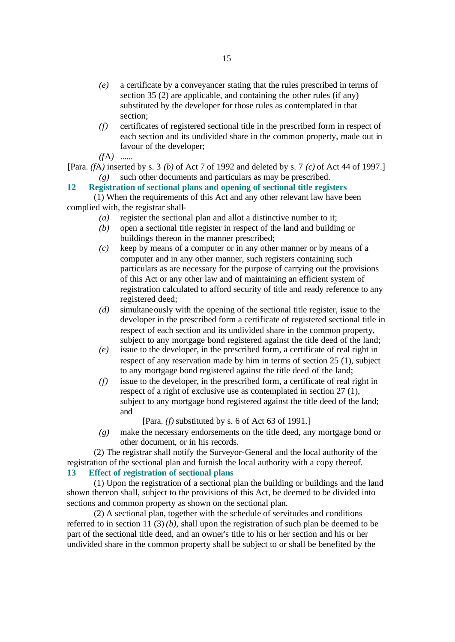- *(e)* a certificate by a conveyancer stating that the rules prescribed in terms of section 35 (2) are applicable, and containing the other rules (if any) substituted by the developer for those rules as contemplated in that section;
- *(f)* certificates of registered sectional title in the prescribed form in respect of each section and its undivided share in the common property, made out in favour of the developer;

*(f*A*)* ......

[Para. *(f*A*)* inserted by s. 3 *(b)* of Act 7 of 1992 and deleted by s. 7 *(c)* of Act 44 of 1997.] *(g)* such other documents and particulars as may be prescribed.

# **12 Registration of sectional plans and opening of sectional title registers**

(1) When the requirements of this Act and any other relevant law have been complied with, the registrar shall-

- *(a)* register the sectional plan and allot a distinctive number to it;
- *(b)* open a sectional title register in respect of the land and building or buildings thereon in the manner prescribed;
- *(c)* keep by means of a computer or in any other manner or by means of a computer and in any other manner, such registers containing such particulars as are necessary for the purpose of carrying out the provisions of this Act or any other law and of maintaining an efficient system of registration calculated to afford security of title and ready reference to any registered deed;
- *(d)* simultaneously with the opening of the sectional title register, issue to the developer in the prescribed form a certificate of registered sectional title in respect of each section and its undivided share in the common property, subject to any mortgage bond registered against the title deed of the land;
- *(e)* issue to the developer, in the prescribed form, a certificate of real right in respect of any reservation made by him in terms of section 25 (1), subject to any mortgage bond registered against the title deed of the land;
- *(f)* issue to the developer, in the prescribed form, a certificate of real right in respect of a right of exclusive use as contemplated in section 27 (1), subject to any mortgage bond registered against the title deed of the land; and

[Para. *(f)* substituted by s. 6 of Act 63 of 1991.]

*(g)* make the necessary endorsements on the title deed, any mortgage bond or other document, or in his records.

(2) The registrar shall notify the Surveyor-General and the local authority of the registration of the sectional plan and furnish the local authority with a copy thereof.

# **13 Effect of registration of sectional plans**

(1) Upon the registration of a sectional plan the building or buildings and the land shown thereon shall, subject to the provisions of this Act, be deemed to be divided into sections and common property as shown on the sectional plan.

(2) A sectional plan, together with the schedule of servitudes and conditions referred to in section 11 (3) *(b)*, shall upon the registration of such plan be deemed to be part of the sectional title deed, and an owner's title to his or her section and his or her undivided share in the common property shall be subject to or shall be benefited by the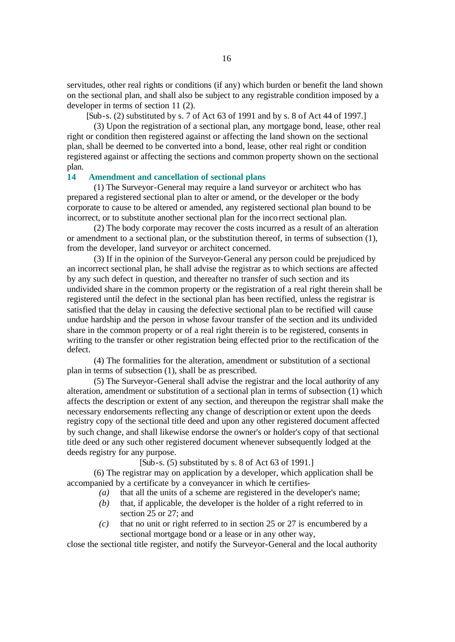servitudes, other real rights or conditions (if any) which burden or benefit the land shown on the sectional plan, and shall also be subject to any registrable condition imposed by a developer in terms of section 11 (2).

[Sub-s. (2) substituted by s. 7 of Act 63 of 1991 and by s. 8 of Act 44 of 1997.]

(3) Upon the registration of a sectional plan, any mortgage bond, lease, other real right or condition then registered against or affecting the land shown on the sectional plan, shall be deemed to be converted into a bond, lease, other real right or condition registered against or affecting the sections and common property shown on the sectional plan.

## **14 Amendment and cancellation of sectional plans**

(1) The Surveyor-General may require a land surveyor or architect who has prepared a registered sectional plan to alter or amend, or the developer or the body corporate to cause to be altered or amended, any registered sectional plan bound to be incorrect, or to substitute another sectional plan for the incorrect sectional plan.

(2) The body corporate may recover the costs incurred as a result of an alteration or amendment to a sectional plan, or the substitution thereof, in terms of subsection (1), from the developer, land surveyor or architect concerned.

(3) If in the opinion of the Surveyor-General any person could be prejudiced by an incorrect sectional plan, he shall advise the registrar as to which sections are affected by any such defect in question, and thereafter no transfer of such section and its undivided share in the common property or the registration of a real right therein shall be registered until the defect in the sectional plan has been rectified, unless the registrar is satisfied that the delay in causing the defective sectional plan to be rectified will cause undue hardship and the person in whose favour transfer of the section and its undivided share in the common property or of a real right therein is to be registered, consents in writing to the transfer or other registration being effected prior to the rectification of the defect.

(4) The formalities for the alteration, amendment or substitution of a sectional plan in terms of subsection (1), shall be as prescribed.

(5) The Surveyor-General shall advise the registrar and the local authority of any alteration, amendment or substitution of a sectional plan in terms of subsection (1) which affects the description or extent of any section, and thereupon the registrar shall make the necessary endorsements reflecting any change of description or extent upon the deeds registry copy of the sectional title deed and upon any other registered document affected by such change, and shall likewise endorse the owner's or holder's copy of that sectional title deed or any such other registered document whenever subsequently lodged at the deeds registry for any purpose.

[Sub-s. (5) substituted by s. 8 of Act 63 of 1991.]

(6) The registrar may on application by a developer, which application shall be accompanied by a certificate by a conveyancer in which he certifies-

- *(a)* that all the units of a scheme are registered in the developer's name;
- *(b)* that, if applicable, the developer is the holder of a right referred to in section 25 or 27; and
- *(c)* that no unit or right referred to in section 25 or 27 is encumbered by a sectional mortgage bond or a lease or in any other way,

close the sectional title register, and notify the Surveyor-General and the local authority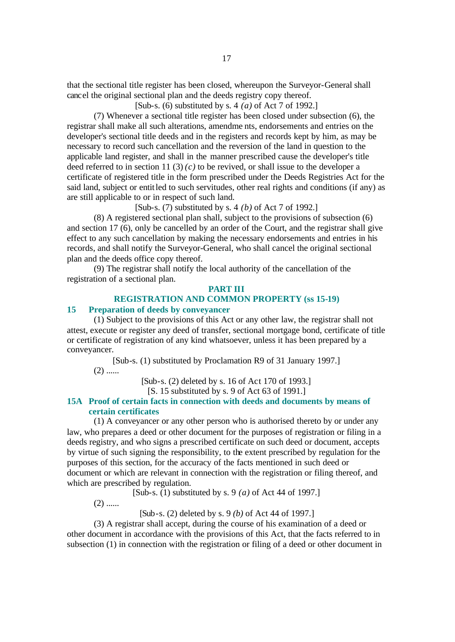that the sectional title register has been closed, whereupon the Surveyor-General shall cancel the original sectional plan and the deeds registry copy thereof.

[Sub-s. (6) substituted by s. 4 *(a)* of Act 7 of 1992.]

(7) Whenever a sectional title register has been closed under subsection (6), the registrar shall make all such alterations, amendme nts, endorsements and entries on the developer's sectional title deeds and in the registers and records kept by him, as may be necessary to record such cancellation and the reversion of the land in question to the applicable land register, and shall in the manner prescribed cause the developer's title deed referred to in section 11 (3)  $(c)$  to be revived, or shall issue to the developer a certificate of registered title in the form prescribed under the Deeds Registries Act for the said land, subject or entitled to such servitudes, other real rights and conditions (if any) as are still applicable to or in respect of such land.

[Sub-s. (7) substituted by s. 4 *(b)* of Act 7 of 1992.]

(8) A registered sectional plan shall, subject to the provisions of subsection (6) and section 17 (6), only be cancelled by an order of the Court, and the registrar shall give effect to any such cancellation by making the necessary endorsements and entries in his records, and shall notify the Surveyor-General, who shall cancel the original sectional plan and the deeds office copy thereof.

(9) The registrar shall notify the local authority of the cancellation of the registration of a sectional plan.

### **PART III**

# **REGISTRATION AND COMMON PROPERTY (ss 15-19)**

### **15 Preparation of deeds by conveyancer**

(1) Subject to the provisions of this Act or any other law, the registrar shall not attest, execute or register any deed of transfer, sectional mortgage bond, certificate of title or certificate of registration of any kind whatsoever, unless it has been prepared by a conveyancer.

[Sub-s. (1) substituted by Proclamation R9 of 31 January 1997.]

 $(2)$  ......

[Sub-s. (2) deleted by s. 16 of Act 170 of 1993.]

[S. 15 substituted by s. 9 of Act 63 of 1991.]

# **15A Proof of certain facts in connection with deeds and documents by means of certain certificates**

(1) A conveyancer or any other person who is authorised thereto by or under any law, who prepares a deed or other document for the purposes of registration or filing in a deeds registry, and who signs a prescribed certificate on such deed or document, accepts by virtue of such signing the responsibility, to the extent prescribed by regulation for the purposes of this section, for the accuracy of the facts mentioned in such deed or document or which are relevant in connection with the registration or filing thereof, and which are prescribed by regulation.

[Sub-s. (1) substituted by s. 9 *(a)* of Act 44 of 1997.]

 $(2)$  ......

[Sub-s. (2) deleted by s. 9 *(b)* of Act 44 of 1997.]

(3) A registrar shall accept, during the course of his examination of a deed or other document in accordance with the provisions of this Act, that the facts referred to in subsection (1) in connection with the registration or filing of a deed or other document in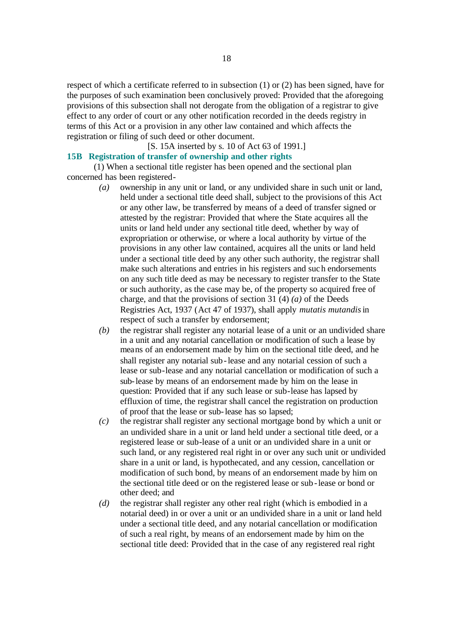respect of which a certificate referred to in subsection (1) or (2) has been signed, have for the purposes of such examination been conclusively proved: Provided that the aforegoing provisions of this subsection shall not derogate from the obligation of a registrar to give effect to any order of court or any other notification recorded in the deeds registry in terms of this Act or a provision in any other law contained and which affects the registration or filing of such deed or other document.

# [S. 15A inserted by s. 10 of Act 63 of 1991.]

# **15B Registration of transfer of ownership and other rights**

(1) When a sectional title register has been opened and the sectional plan concerned has been registered-

- *(a)* ownership in any unit or land, or any undivided share in such unit or land, held under a sectional title deed shall, subject to the provisions of this Act or any other law, be transferred by means of a deed of transfer signed or attested by the registrar: Provided that where the State acquires all the units or land held under any sectional title deed, whether by way of expropriation or otherwise, or where a local authority by virtue of the provisions in any other law contained, acquires all the units or land held under a sectional title deed by any other such authority, the registrar shall make such alterations and entries in his registers and such endorsements on any such title deed as may be necessary to register transfer to the State or such authority, as the case may be, of the property so acquired free of charge, and that the provisions of section 31 (4) *(a)* of the Deeds Registries Act, 1937 (Act 47 of 1937), shall apply *mutatis mutandis* in respect of such a transfer by endorsement;
- *(b)* the registrar shall register any notarial lease of a unit or an undivided share in a unit and any notarial cancellation or modification of such a lease by means of an endorsement made by him on the sectional title deed, and he shall register any notarial sub-lease and any notarial cession of such a lease or sub-lease and any notarial cancellation or modification of such a sub-lease by means of an endorsement made by him on the lease in question: Provided that if any such lease or sub-lease has lapsed by effluxion of time, the registrar shall cancel the registration on production of proof that the lease or sub-lease has so lapsed;
- *(c)* the registrar shall register any sectional mortgage bond by which a unit or an undivided share in a unit or land held under a sectional title deed, or a registered lease or sub-lease of a unit or an undivided share in a unit or such land, or any registered real right in or over any such unit or undivided share in a unit or land, is hypothecated, and any cession, cancellation or modification of such bond, by means of an endorsement made by him on the sectional title deed or on the registered lease or sub-lease or bond or other deed; and
- *(d)* the registrar shall register any other real right (which is embodied in a notarial deed) in or over a unit or an undivided share in a unit or land held under a sectional title deed, and any notarial cancellation or modification of such a real right, by means of an endorsement made by him on the sectional title deed: Provided that in the case of any registered real right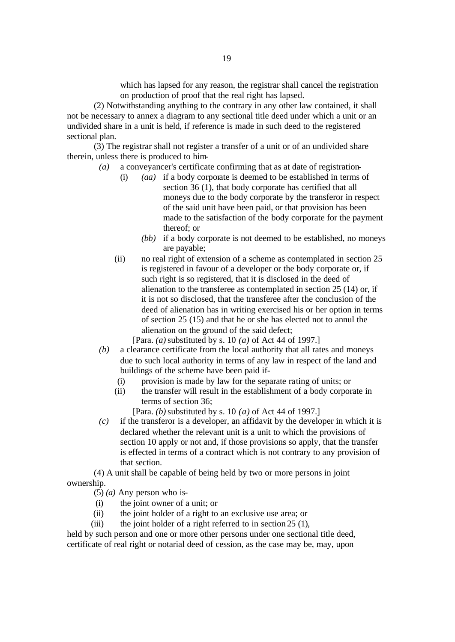which has lapsed for any reason, the registrar shall cancel the registration on production of proof that the real right has lapsed.

(2) Notwithstanding anything to the contrary in any other law contained, it shall not be necessary to annex a diagram to any sectional title deed under which a unit or an undivided share in a unit is held, if reference is made in such deed to the registered sectional plan.

(3) The registrar shall not register a transfer of a unit or of an undivided share therein, unless there is produced to him-

- *(a)* a conveyancer's certificate confirming that as at date of registration-
	- (*aa*) if a body corporate is deemed to be established in terms of section 36 (1), that body corporate has certified that all moneys due to the body corporate by the transferor in respect of the said unit have been paid, or that provision has been made to the satisfaction of the body corporate for the payment thereof; or
		- *(bb)* if a body corporate is not deemed to be established, no moneys are payable;
	- (ii) no real right of extension of a scheme as contemplated in section 25 is registered in favour of a developer or the body corporate or, if such right is so registered, that it is disclosed in the deed of alienation to the transferee as contemplated in section 25 (14) or, if it is not so disclosed, that the transferee after the conclusion of the deed of alienation has in writing exercised his or her option in terms of section 25 (15) and that he or she has elected not to annul the alienation on the ground of the said defect;

[Para. *(a)* substituted by s. 10 *(a)* of Act 44 of 1997.]

- *(b)* a clearance certificate from the local authority that all rates and moneys due to such local authority in terms of any law in respect of the land and buildings of the scheme have been paid if-
	- (i) provision is made by law for the separate rating of units; or
	- (ii) the transfer will result in the establishment of a body corporate in terms of section 36;

[Para. *(b)* substituted by s. 10 *(a)* of Act 44 of 1997.]

*(c)* if the transferor is a developer, an affidavit by the developer in which it is declared whether the relevant unit is a unit to which the provisions of section 10 apply or not and, if those provisions so apply, that the transfer is effected in terms of a contract which is not contrary to any provision of that section.

(4) A unit shall be capable of being held by two or more persons in joint ownership.

(5) *(a)* Any person who is-

- (i) the joint owner of a unit; or
- (ii) the joint holder of a right to an exclusive use area; or
- (iii) the joint holder of a right referred to in section  $25(1)$ ,

held by such person and one or more other persons under one sectional title deed, certificate of real right or notarial deed of cession, as the case may be, may, upon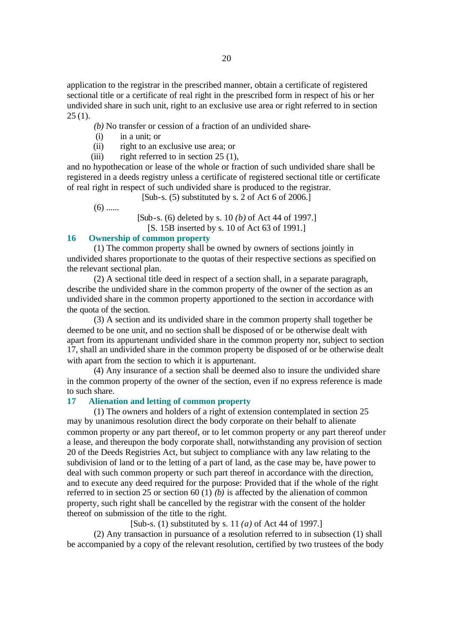application to the registrar in the prescribed manner, obtain a certificate of registered sectional title or a certificate of real right in the prescribed form in respect of his or her undivided share in such unit, right to an exclusive use area or right referred to in section  $25(1)$ .

*(b)* No transfer or cession of a fraction of an undivided share-

- (i) in a unit; or
- (ii) right to an exclusive use area; or
- (iii) right referred to in section  $25(1)$ ,

and no hypothecation or lease of the whole or fraction of such undivided share shall be registered in a deeds registry unless a certificate of registered sectional title or certificate of real right in respect of such undivided share is produced to the registrar.

[Sub-s. (5) substituted by s. 2 of Act 6 of 2006.]

 $(6)$  ......

[Sub-s. (6) deleted by s. 10 *(b)* of Act 44 of 1997.] [S. 15B inserted by s. 10 of Act 63 of 1991.]

# **16 Ownership of common property**

(1) The common property shall be owned by owners of sections jointly in undivided shares proportionate to the quotas of their respective sections as specified on the relevant sectional plan.

(2) A sectional title deed in respect of a section shall, in a separate paragraph, describe the undivided share in the common property of the owner of the section as an undivided share in the common property apportioned to the section in accordance with the quota of the section.

(3) A section and its undivided share in the common property shall together be deemed to be one unit, and no section shall be disposed of or be otherwise dealt with apart from its appurtenant undivided share in the common property nor, subject to section 17, shall an undivided share in the common property be disposed of or be otherwise dealt with apart from the section to which it is appurtenant.

(4) Any insurance of a section shall be deemed also to insure the undivided share in the common property of the owner of the section, even if no express reference is made to such share.

## **17 Alienation and letting of common property**

(1) The owners and holders of a right of extension contemplated in section 25 may by unanimous resolution direct the body corporate on their behalf to alienate common property or any part thereof, or to let common property or any part thereof under a lease, and thereupon the body corporate shall, notwithstanding any provision of section 20 of the Deeds Registries Act, but subject to compliance with any law relating to the subdivision of land or to the letting of a part of land, as the case may be, have power to deal with such common property or such part thereof in accordance with the direction, and to execute any deed required for the purpose: Provided that if the whole of the right referred to in section 25 or section 60 (1) *(b)* is affected by the alienation of common property, such right shall be cancelled by the registrar with the consent of the holder thereof on submission of the title to the right.

[Sub-s. (1) substituted by s. 11 *(a)* of Act 44 of 1997.]

(2) Any transaction in pursuance of a resolution referred to in subsection (1) shall be accompanied by a copy of the relevant resolution, certified by two trustees of the body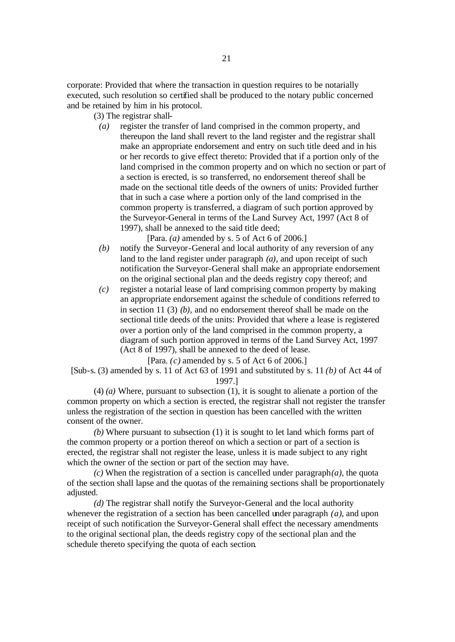corporate: Provided that where the transaction in question requires to be notarially executed, such resolution so certified shall be produced to the notary public concerned and be retained by him in his protocol.

- (3) The registrar shall-
	- *(a)* register the transfer of land comprised in the common property, and thereupon the land shall revert to the land register and the registrar shall make an appropriate endorsement and entry on such title deed and in his or her records to give effect thereto: Provided that if a portion only of the land comprised in the common property and on which no section or part of a section is erected, is so transferred, no endorsement thereof shall be made on the sectional title deeds of the owners of units: Provided further that in such a case where a portion only of the land comprised in the common property is transferred, a diagram of such portion approved by the Surveyor-General in terms of the Land Survey Act, 1997 (Act 8 of 1997), shall be annexed to the said title deed;

[Para. *(a)* amended by s. 5 of Act 6 of 2006.]

- *(b)* notify the Surveyor-General and local authority of any reversion of any land to the land register under paragraph *(a)*, and upon receipt of such notification the Surveyor-General shall make an appropriate endorsement on the original sectional plan and the deeds registry copy thereof; and
- *(c)* register a notarial lease of land comprising common property by making an appropriate endorsement against the schedule of conditions referred to in section 11 (3) *(b)*, and no endorsement thereof shall be made on the sectional title deeds of the units: Provided that where a lease is registered over a portion only of the land comprised in the common property, a diagram of such portion approved in terms of the Land Survey Act, 1997 (Act 8 of 1997), shall be annexed to the deed of lease.

[Para. *(c)* amended by s. 5 of Act 6 of 2006.]

[Sub-s. (3) amended by s. 11 of Act 63 of 1991 and substituted by s. 11 *(b)* of Act 44 of 1997.]

(4) *(a)* Where, pursuant to subsection (1), it is sought to alienate a portion of the common property on which a section is erected, the registrar shall not register the transfer unless the registration of the section in question has been cancelled with the written consent of the owner.

*(b)* Where pursuant to subsection (1) it is sought to let land which forms part of the common property or a portion thereof on which a section or part of a section is erected, the registrar shall not register the lease, unless it is made subject to any right which the owner of the section or part of the section may have.

*(c)* When the registration of a section is cancelled under paragraph*(a)*, the quota of the section shall lapse and the quotas of the remaining sections shall be proportionately adjusted.

*(d)* The registrar shall notify the Surveyor-General and the local authority whenever the registration of a section has been cancelled under paragraph *(a)*, and upon receipt of such notification the Surveyor-General shall effect the necessary amendments to the original sectional plan, the deeds registry copy of the sectional plan and the schedule thereto specifying the quota of each section.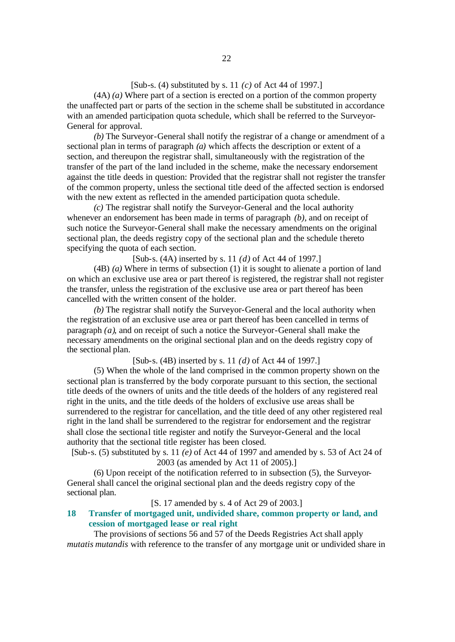# [Sub-s. (4) substituted by s. 11 *(c)* of Act 44 of 1997.]

(4A) *(a)* Where part of a section is erected on a portion of the common property the unaffected part or parts of the section in the scheme shall be substituted in accordance with an amended participation quota schedule, which shall be referred to the Surveyor-General for approval.

*(b)* The Surveyor-General shall notify the registrar of a change or amendment of a sectional plan in terms of paragraph *(a)* which affects the description or extent of a section, and thereupon the registrar shall, simultaneously with the registration of the transfer of the part of the land included in the scheme, make the necessary endorsement against the title deeds in question: Provided that the registrar shall not register the transfer of the common property, unless the sectional title deed of the affected section is endorsed with the new extent as reflected in the amended participation quota schedule.

*(c)* The registrar shall notify the Surveyor-General and the local authority whenever an endorsement has been made in terms of paragraph *(b)*, and on receipt of such notice the Surveyor-General shall make the necessary amendments on the original sectional plan, the deeds registry copy of the sectional plan and the schedule thereto specifying the quota of each section.

[Sub-s. (4A) inserted by s. 11 *(d)* of Act 44 of 1997.]

(4B) *(a)* Where in terms of subsection (1) it is sought to alienate a portion of land on which an exclusive use area or part thereof is registered, the registrar shall not register the transfer, unless the registration of the exclusive use area or part thereof has been cancelled with the written consent of the holder.

*(b)* The registrar shall notify the Surveyor-General and the local authority when the registration of an exclusive use area or part thereof has been cancelled in terms of paragraph *(a)*, and on receipt of such a notice the Surveyor-General shall make the necessary amendments on the original sectional plan and on the deeds registry copy of the sectional plan.

[Sub-s. (4B) inserted by s. 11 *(d)* of Act 44 of 1997.]

(5) When the whole of the land comprised in the common property shown on the sectional plan is transferred by the body corporate pursuant to this section, the sectional title deeds of the owners of units and the title deeds of the holders of any registered real right in the units, and the title deeds of the holders of exclusive use areas shall be surrendered to the registrar for cancellation, and the title deed of any other registered real right in the land shall be surrendered to the registrar for endorsement and the registrar shall close the sectional title register and notify the Surveyor-General and the local authority that the sectional title register has been closed.

[Sub-s. (5) substituted by s. 11 *(e)* of Act 44 of 1997 and amended by s. 53 of Act 24 of 2003 (as amended by Act 11 of 2005).]

(6) Upon receipt of the notification referred to in subsection (5), the Surveyor-General shall cancel the original sectional plan and the deeds registry copy of the sectional plan.

[S. 17 amended by s. 4 of Act 29 of 2003.]

# **18 Transfer of mortgaged unit, undivided share, common property or land, and cession of mortgaged lease or real right**

The provisions of sections 56 and 57 of the Deeds Registries Act shall apply *mutatis mutandis* with reference to the transfer of any mortgage unit or undivided share in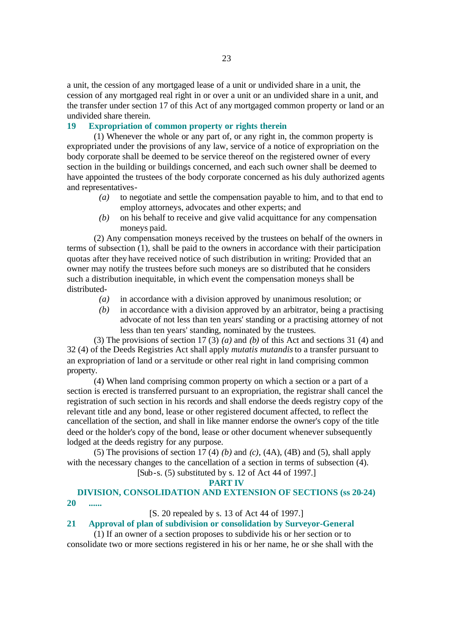a unit, the cession of any mortgaged lease of a unit or undivided share in a unit, the cession of any mortgaged real right in or over a unit or an undivided share in a unit, and the transfer under section 17 of this Act of any mortgaged common property or land or an undivided share therein.

# **19 Expropriation of common property or rights therein**

(1) Whenever the whole or any part of, or any right in, the common property is expropriated under the provisions of any law, service of a notice of expropriation on the body corporate shall be deemed to be service thereof on the registered owner of every section in the building or buildings concerned, and each such owner shall be deemed to have appointed the trustees of the body corporate concerned as his duly authorized agents and representatives-

- *(a)* to negotiate and settle the compensation payable to him, and to that end to employ attorneys, advocates and other experts; and
- *(b)* on his behalf to receive and give valid acquittance for any compensation moneys paid.

(2) Any compensation moneys received by the trustees on behalf of the owners in terms of subsection  $(1)$ , shall be paid to the owners in accordance with their participation quotas after they have received notice of such distribution in writing: Provided that an owner may notify the trustees before such moneys are so distributed that he considers such a distribution inequitable, in which event the compensation moneys shall be distributed-

- *(a)* in accordance with a division approved by unanimous resolution; or
- *(b)* in accordance with a division approved by an arbitrator, being a practising advocate of not less than ten years' standing or a practising attorney of not less than ten years' standing, nominated by the trustees.

(3) The provisions of section 17 (3) *(a)* and *(b)* of this Act and sections 31 (4) and 32 (4) of the Deeds Registries Act shall apply *mutatis mutandis* to a transfer pursuant to an expropriation of land or a servitude or other real right in land comprising common property.

(4) When land comprising common property on which a section or a part of a section is erected is transferred pursuant to an expropriation, the registrar shall cancel the registration of such section in his records and shall endorse the deeds registry copy of the relevant title and any bond, lease or other registered document affected, to reflect the cancellation of the section, and shall in like manner endorse the owner's copy of the title deed or the holder's copy of the bond, lease or other document whenever subsequently lodged at the deeds registry for any purpose.

(5) The provisions of section 17 (4) *(b)* and *(c)*, (4A), (4B) and (5), shall apply with the necessary changes to the cancellation of a section in terms of subsection  $(4)$ . [Sub-s. (5) substituted by s. 12 of Act 44 of 1997.]

#### **PART IV**

# **DIVISION, CONSOLIDATION AND EXTENSION OF SECTIONS (ss 20-24)**

**20 ......**

[S. 20 repealed by s. 13 of Act 44 of 1997.]

# **21 Approval of plan of subdivision or consolidation by Surveyor-General**

(1) If an owner of a section proposes to subdivide his or her section or to consolidate two or more sections registered in his or her name, he or she shall with the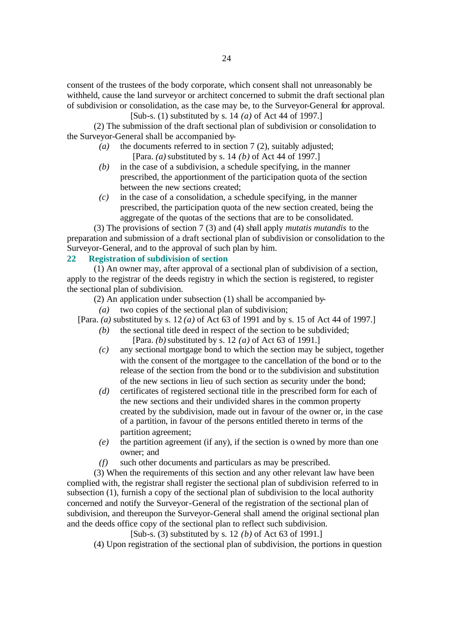consent of the trustees of the body corporate, which consent shall not unreasonably be withheld, cause the land surveyor or architect concerned to submit the draft sectional plan of subdivision or consolidation, as the case may be, to the Surveyor-General for approval.

[Sub-s. (1) substituted by s. 14 *(a)* of Act 44 of 1997.]

(2) The submission of the draft sectional plan of subdivision or consolidation to the Surveyor-General shall be accompanied by-

- *(a)* the documents referred to in section 7 (2), suitably adjusted; [Para. *(a)* substituted by s. 14 *(b)* of Act 44 of 1997.]
- *(b)* in the case of a subdivision, a schedule specifying, in the manner prescribed, the apportionment of the participation quota of the section between the new sections created;
- *(c)* in the case of a consolidation, a schedule specifying, in the manner prescribed, the participation quota of the new section created, being the aggregate of the quotas of the sections that are to be consolidated.

(3) The provisions of section 7 (3) and (4) shall apply *mutatis mutandis* to the preparation and submission of a draft sectional plan of subdivision or consolidation to the Surveyor-General, and to the approval of such plan by him.

# **22 Registration of subdivision of section**

(1) An owner may, after approval of a sectional plan of subdivision of a section, apply to the registrar of the deeds registry in which the section is registered, to register the sectional plan of subdivision.

(2) An application under subsection (1) shall be accompanied by-

*(a)* two copies of the sectional plan of subdivision;

[Para. *(a)* substituted by s. 12 *(a)* of Act 63 of 1991 and by s. 15 of Act 44 of 1997.]

- *(b)* the sectional title deed in respect of the section to be subdivided; [Para. *(b)* substituted by s. 12 *(a)* of Act 63 of 1991.]
- *(c)* any sectional mortgage bond to which the section may be subject, together with the consent of the mortgagee to the cancellation of the bond or to the release of the section from the bond or to the subdivision and substitution of the new sections in lieu of such section as security under the bond;
- *(d)* certificates of registered sectional title in the prescribed form for each of the new sections and their undivided shares in the common property created by the subdivision, made out in favour of the owner or, in the case of a partition, in favour of the persons entitled thereto in terms of the partition agreement;
- *(e)* the partition agreement (if any), if the section is owned by more than one owner; and
- *(f)* such other documents and particulars as may be prescribed.

(3) When the requirements of this section and any other relevant law have been complied with, the registrar shall register the sectional plan of subdivision referred to in subsection (1), furnish a copy of the sectional plan of subdivision to the local authority concerned and notify the Surveyor-General of the registration of the sectional plan of subdivision, and thereupon the Surveyor-General shall amend the original sectional plan and the deeds office copy of the sectional plan to reflect such subdivision.

[Sub-s. (3) substituted by s. 12 *(b)* of Act 63 of 1991.]

(4) Upon registration of the sectional plan of subdivision, the portions in question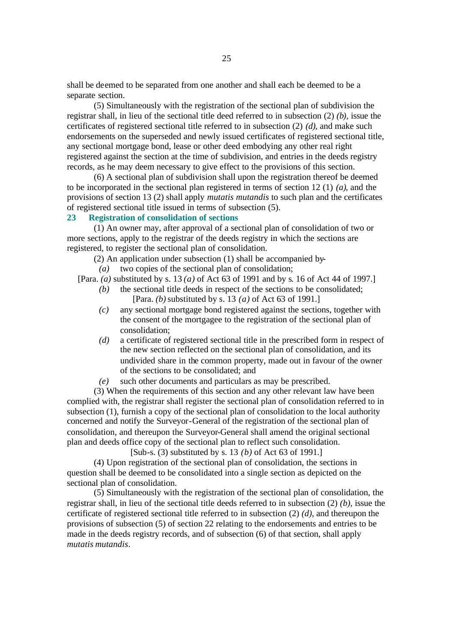shall be deemed to be separated from one another and shall each be deemed to be a separate section.

(5) Simultaneously with the registration of the sectional plan of subdivision the registrar shall, in lieu of the sectional title deed referred to in subsection (2) *(b)*, issue the certificates of registered sectional title referred to in subsection (2) *(d)*, and make such endorsements on the superseded and newly issued certificates of registered sectional title, any sectional mortgage bond, lease or other deed embodying any other real right registered against the section at the time of subdivision, and entries in the deeds registry records, as he may deem necessary to give effect to the provisions of this section.

(6) A sectional plan of subdivision shall upon the registration thereof be deemed to be incorporated in the sectional plan registered in terms of section 12 (1) *(a)*, and the provisions of section 13 (2) shall apply *mutatis mutandis* to such plan and the certificates of registered sectional title issued in terms of subsection (5).

## **23 Registration of consolidation of sections**

(1) An owner may, after approval of a sectional plan of consolidation of two or more sections, apply to the registrar of the deeds registry in which the sections are registered, to register the sectional plan of consolidation.

(2) An application under subsection (1) shall be accompanied by-

*(a)* two copies of the sectional plan of consolidation;

[Para. *(a)* substituted by s. 13 *(a)* of Act 63 of 1991 and by s. 16 of Act 44 of 1997.]

- *(b)* the sectional title deeds in respect of the sections to be consolidated; [Para. *(b)* substituted by s. 13 *(a)* of Act 63 of 1991.]
- *(c)* any sectional mortgage bond registered against the sections, together with the consent of the mortgagee to the registration of the sectional plan of consolidation;
- *(d)* a certificate of registered sectional title in the prescribed form in respect of the new section reflected on the sectional plan of consolidation, and its undivided share in the common property, made out in favour of the owner of the sections to be consolidated; and
- *(e)* such other documents and particulars as may be prescribed.

(3) When the requirements of this section and any other relevant law have been complied with, the registrar shall register the sectional plan of consolidation referred to in subsection (1), furnish a copy of the sectional plan of consolidation to the local authority concerned and notify the Surveyor-General of the registration of the sectional plan of consolidation, and thereupon the Surveyor-General shall amend the original sectional plan and deeds office copy of the sectional plan to reflect such consolidation.

[Sub-s. (3) substituted by s. 13 *(b)* of Act 63 of 1991.]

(4) Upon registration of the sectional plan of consolidation, the sections in question shall be deemed to be consolidated into a single section as depicted on the sectional plan of consolidation.

(5) Simultaneously with the registration of the sectional plan of consolidation, the registrar shall, in lieu of the sectional title deeds referred to in subsection (2) *(b)*, issue the certificate of registered sectional title referred to in subsection (2) *(d)*, and thereupon the provisions of subsection (5) of section 22 relating to the endorsements and entries to be made in the deeds registry records, and of subsection (6) of that section, shall apply *mutatis mutandis*.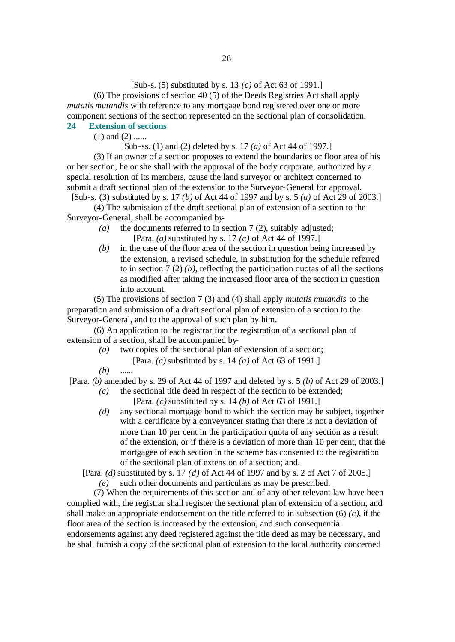[Sub-s. (5) substituted by s. 13 *(c)* of Act 63 of 1991.]

(6) The provisions of section 40 (5) of the Deeds Registries Act shall apply *mutatis mutandis* with reference to any mortgage bond registered over one or more component sections of the section represented on the sectional plan of consolidation.

# **24 Extension of sections**

 $(1)$  and  $(2)$  ......

# [Sub-ss. (1) and (2) deleted by s. 17 *(a)* of Act 44 of 1997.]

(3) If an owner of a section proposes to extend the boundaries or floor area of his or her section, he or she shall with the approval of the body corporate, authorized by a special resolution of its members, cause the land surveyor or architect concerned to submit a draft sectional plan of the extension to the Surveyor-General for approval. [Sub-s. (3) substituted by s. 17 *(b)* of Act 44 of 1997 and by s. 5 *(a)* of Act 29 of 2003.]

(4) The submission of the draft sectional plan of extension of a section to the Surveyor-General, shall be accompanied by-

- *(a)* the documents referred to in section 7 (2), suitably adjusted; [Para. *(a)* substituted by s. 17 *(c)* of Act 44 of 1997.]
- *(b)* in the case of the floor area of the section in question being increased by the extension, a revised schedule, in substitution for the schedule referred to in section  $7(2)(b)$ , reflecting the participation quotas of all the sections as modified after taking the increased floor area of the section in question into account.

(5) The provisions of section 7 (3) and (4) shall apply *mutatis mutandis* to the preparation and submission of a draft sectional plan of extension of a section to the Surveyor-General, and to the approval of such plan by him.

(6) An application to the registrar for the registration of a sectional plan of extension of a section, shall be accompanied by-

- *(a)* two copies of the sectional plan of extension of a section;
	- [Para. *(a)* substituted by s. 14 *(a)* of Act 63 of 1991.]

*(b)* ......

[Para. *(b)* amended by s. 29 of Act 44 of 1997 and deleted by s. 5 *(b)* of Act 29 of 2003.]

- *(c)* the sectional title deed in respect of the section to be extended; [Para. *(c)* substituted by s. 14 *(b)* of Act 63 of 1991.]
- *(d)* any sectional mortgage bond to which the section may be subject, together with a certificate by a conveyancer stating that there is not a deviation of more than 10 per cent in the participation quota of any section as a result of the extension, or if there is a deviation of more than 10 per cent, that the mortgagee of each section in the scheme has consented to the registration of the sectional plan of extension of a section; and.

[Para. *(d)* substituted by s. 17 *(d)* of Act 44 of 1997 and by s. 2 of Act 7 of 2005.]

*(e)* such other documents and particulars as may be prescribed.

(7) When the requirements of this section and of any other relevant law have been complied with, the registrar shall register the sectional plan of extension of a section, and shall make an appropriate endorsement on the title referred to in subsection (6) *(c)*, if the floor area of the section is increased by the extension, and such consequential endorsements against any deed registered against the title deed as may be necessary, and he shall furnish a copy of the sectional plan of extension to the local authority concerned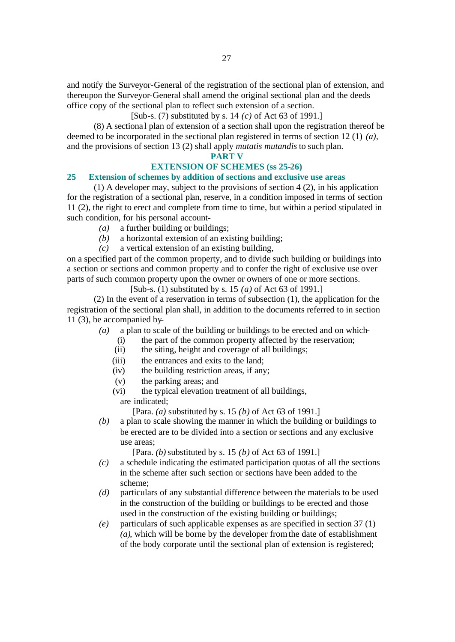and notify the Surveyor-General of the registration of the sectional plan of extension, and thereupon the Surveyor-General shall amend the original sectional plan and the deeds office copy of the sectional plan to reflect such extension of a section.

[Sub-s. (7) substituted by s. 14 *(c)* of Act 63 of 1991.]

(8) A sectiona l plan of extension of a section shall upon the registration thereof be deemed to be incorporated in the sectional plan registered in terms of section 12 (1) *(a)*, and the provisions of section 13 (2) shall apply *mutatis mutandis* to such plan.

### **PART V**

# **EXTENSION OF SCHEMES (ss 25-26)**

### **25 Extension of schemes by addition of sections and exclusive use areas**

(1) A developer may, subject to the provisions of section 4 (2), in his application for the registration of a sectional plan, reserve, in a condition imposed in terms of section 11 (2), the right to erect and complete from time to time, but within a period stipulated in such condition, for his personal account-

- *(a)* a further building or buildings;
- *(b)* a horizontal extension of an existing building;
- *(c)* a vertical extension of an existing building,

on a specified part of the common property, and to divide such building or buildings into a section or sections and common property and to confer the right of exclusive use over parts of such common property upon the owner or owners of one or more sections.

[Sub-s. (1) substituted by s. 15 *(a)* of Act 63 of 1991.]

(2) In the event of a reservation in terms of subsection (1), the application for the registration of the sectional plan shall, in addition to the documents referred to in section 11 (3), be accompanied by-

- *(a)* a plan to scale of the building or buildings to be erected and on which-
	- (i) the part of the common property affected by the reservation;
	- (ii) the siting, height and coverage of all buildings;
	- (iii) the entrances and exits to the land;
	- (iv) the building restriction areas, if any;
	- (v) the parking areas; and
	- (vi) the typical elevation treatment of all buildings, are indicated;

[Para. *(a)* substituted by s. 15 *(b)* of Act 63 of 1991.]

*(b)* a plan to scale showing the manner in which the building or buildings to be erected are to be divided into a section or sections and any exclusive use areas;

[Para. *(b)* substituted by s. 15 *(b)* of Act 63 of 1991.]

- *(c)* a schedule indicating the estimated participation quotas of all the sections in the scheme after such section or sections have been added to the scheme;
- *(d)* particulars of any substantial difference between the materials to be used in the construction of the building or buildings to be erected and those used in the construction of the existing building or buildings;
- *(e)* particulars of such applicable expenses as are specified in section 37 (1) *(a)*, which will be borne by the developer from the date of establishment of the body corporate until the sectional plan of extension is registered;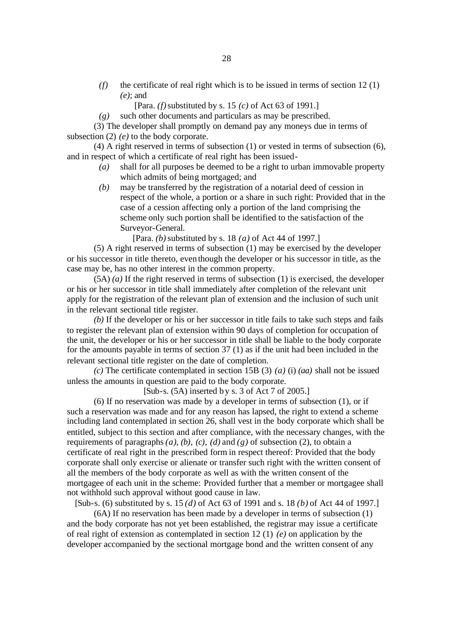- *(f)* the certificate of real right which is to be issued in terms of section 12 (1) *(e)*; and
	- [Para. *(f)* substituted by s. 15 *(c)* of Act 63 of 1991.]

*(g)* such other documents and particulars as may be prescribed.

(3) The developer shall promptly on demand pay any moneys due in terms of subsection (2) *(e)* to the body corporate.

(4) A right reserved in terms of subsection (1) or vested in terms of subsection (6), and in respect of which a certificate of real right has been issued-

- *(a)* shall for all purposes be deemed to be a right to urban immovable property which admits of being mortgaged; and
- *(b)* may be transferred by the registration of a notarial deed of cession in respect of the whole, a portion or a share in such right: Provided that in the case of a cession affecting only a portion of the land comprising the scheme only such portion shall be identified to the satisfaction of the Surveyor-General.

[Para. *(b)* substituted by s. 18 *(a)* of Act 44 of 1997.]

(5) A right reserved in terms of subsection (1) may be exercised by the developer or his successor in title thereto, even though the developer or his successor in title, as the case may be, has no other interest in the common property.

(5A) *(a)* If the right reserved in terms of subsection (1) is exercised, the developer or his or her successor in title shall immediately after completion of the relevant unit apply for the registration of the relevant plan of extension and the inclusion of such unit in the relevant sectional title register.

*(b)* If the developer or his or her successor in title fails to take such steps and fails to register the relevant plan of extension within 90 days of completion for occupation of the unit, the developer or his or her successor in title shall be liable to the body corporate for the amounts payable in terms of section 37 (1) as if the unit had been included in the relevant sectional title register on the date of completion.

*(c)* The certificate contemplated in section 15B (3) *(a)* (i) *(aa)* shall not be issued unless the amounts in question are paid to the body corporate.

[Sub-s. (5A) inserted by s. 3 of Act 7 of 2005.]

(6) If no reservation was made by a developer in terms of subsection (1), or if such a reservation was made and for any reason has lapsed, the right to extend a scheme including land contemplated in section 26, shall vest in the body corporate which shall be entitled, subject to this section and after compliance, with the necessary changes, with the requirements of paragraphs  $(a)$ ,  $(b)$ ,  $(c)$ ,  $(d)$  and  $(g)$  of subsection  $(2)$ , to obtain a certificate of real right in the prescribed form in respect thereof: Provided that the body corporate shall only exercise or alienate or transfer such right with the written consent of all the members of the body corporate as well as with the written consent of the mortgagee of each unit in the scheme: Provided further that a member or mortgagee shall not withhold such approval without good cause in law.

[Sub-s. (6) substituted by s. 15 *(d)* of Act 63 of 1991 and s. 18 *(b)* of Act 44 of 1997.]

(6A) If no reservation has been made by a developer in terms of subsection (1) and the body corporate has not yet been established, the registrar may issue a certificate of real right of extension as contemplated in section 12 (1) *(e)* on application by the developer accompanied by the sectional mortgage bond and the written consent of any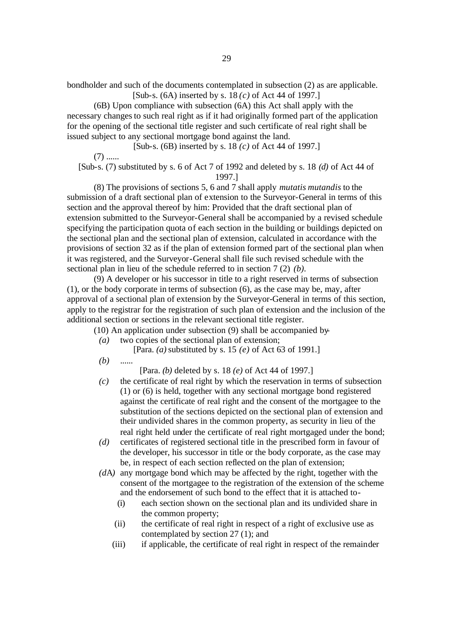bondholder and such of the documents contemplated in subsection (2) as are applicable. [Sub-s. (6A) inserted by s. 18 *(c)* of Act 44 of 1997.]

(6B) Upon compliance with subsection (6A) this Act shall apply with the necessary changes to such real right as if it had originally formed part of the application for the opening of the sectional title register and such certificate of real right shall be issued subject to any sectional mortgage bond against the land.

[Sub-s. (6B) inserted by s. 18 *(c)* of Act 44 of 1997.]  $(7)$  ...... [Sub-s. (7) substituted by s. 6 of Act 7 of 1992 and deleted by s. 18 *(d)* of Act 44 of

1997.]

(8) The provisions of sections 5, 6 and 7 shall apply *mutatis mutandis* to the submission of a draft sectional plan of extension to the Surveyor-General in terms of this section and the approval thereof by him: Provided that the draft sectional plan of extension submitted to the Surveyor-General shall be accompanied by a revised schedule specifying the participation quota of each section in the building or buildings depicted on the sectional plan and the sectional plan of extension, calculated in accordance with the provisions of section 32 as if the plan of extension formed part of the sectional plan when it was registered, and the Surveyor-General shall file such revised schedule with the sectional plan in lieu of the schedule referred to in section 7 (2) *(b)*.

(9) A developer or his successor in title to a right reserved in terms of subsection (1), or the body corporate in terms of subsection (6), as the case may be, may, after approval of a sectional plan of extension by the Surveyor-General in terms of this section, apply to the registrar for the registration of such plan of extension and the inclusion of the additional section or sections in the relevant sectional title register.

(10) An application under subsection (9) shall be accompanied by-

*(a)* two copies of the sectional plan of extension;

[Para. *(a)* substituted by s. 15 *(e)* of Act 63 of 1991.]

*(b)* ......

[Para. *(b)* deleted by s. 18 *(e)* of Act 44 of 1997.]

- *(c)* the certificate of real right by which the reservation in terms of subsection (1) or (6) is held, together with any sectional mortgage bond registered against the certificate of real right and the consent of the mortgagee to the substitution of the sections depicted on the sectional plan of extension and their undivided shares in the common property, as security in lieu of the real right held under the certificate of real right mortgaged under the bond;
- *(d)* certificates of registered sectional title in the prescribed form in favour of the developer, his successor in title or the body corporate, as the case may be, in respect of each section reflected on the plan of extension;
- *(d*A*)* any mortgage bond which may be affected by the right, together with the consent of the mortgagee to the registration of the extension of the scheme and the endorsement of such bond to the effect that it is attached to-
	- (i) each section shown on the sectional plan and its undivided share in the common property;
	- (ii) the certificate of real right in respect of a right of exclusive use as contemplated by section 27 (1); and
	- (iii) if applicable, the certificate of real right in respect of the remainder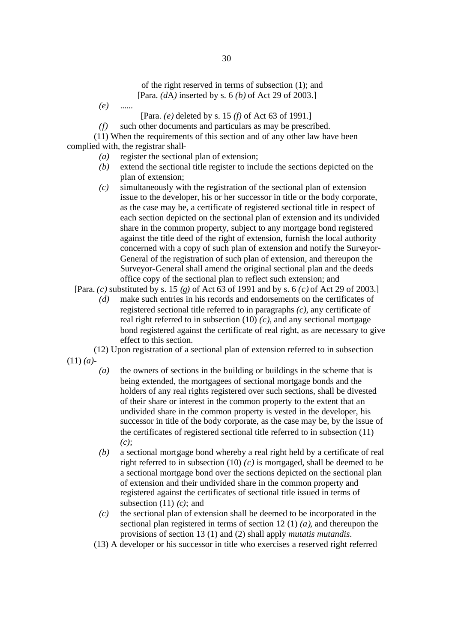of the right reserved in terms of subsection (1); and [Para. *(d*A*)* inserted by s. 6 *(b)* of Act 29 of 2003.]

- *(e)* ......
	- [Para. *(e)* deleted by s. 15 *(f)* of Act 63 of 1991.]
- *(f)* such other documents and particulars as may be prescribed.

(11) When the requirements of this section and of any other law have been complied with, the registrar shall-

- *(a)* register the sectional plan of extension;
- *(b)* extend the sectional title register to include the sections depicted on the plan of extension;
- *(c)* simultaneously with the registration of the sectional plan of extension issue to the developer, his or her successor in title or the body corporate, as the case may be, a certificate of registered sectional title in respect of each section depicted on the sectional plan of extension and its undivided share in the common property, subject to any mortgage bond registered against the title deed of the right of extension, furnish the local authority concerned with a copy of such plan of extension and notify the Surveyor-General of the registration of such plan of extension, and thereupon the Surveyor-General shall amend the original sectional plan and the deeds office copy of the sectional plan to reflect such extension; and

[Para. *(c)* substituted by s. 15 *(g)* of Act 63 of 1991 and by s. 6 *(c)* of Act 29 of 2003.]

- *(d)* make such entries in his records and endorsements on the certificates of registered sectional title referred to in paragraphs *(c)*, any certificate of real right referred to in subsection (10) *(c)*, and any sectional mortgage bond registered against the certificate of real right, as are necessary to give effect to this section.
- (12) Upon registration of a sectional plan of extension referred to in subsection
- (11) *(a)*
	- *(a)* the owners of sections in the building or buildings in the scheme that is being extended, the mortgagees of sectional mortgage bonds and the holders of any real rights registered over such sections, shall be divested of their share or interest in the common property to the extent that an undivided share in the common property is vested in the developer, his successor in title of the body corporate, as the case may be, by the issue of the certificates of registered sectional title referred to in subsection (11) *(c)*;
	- *(b)* a sectional mortgage bond whereby a real right held by a certificate of real right referred to in subsection (10) *(c)* is mortgaged, shall be deemed to be a sectional mortgage bond over the sections depicted on the sectional plan of extension and their undivided share in the common property and registered against the certificates of sectional title issued in terms of subsection (11) *(c)*; and
	- *(c)* the sectional plan of extension shall be deemed to be incorporated in the sectional plan registered in terms of section 12 (1) *(a)*, and thereupon the provisions of section 13 (1) and (2) shall apply *mutatis mutandis*.
	- (13) A developer or his successor in title who exercises a reserved right referred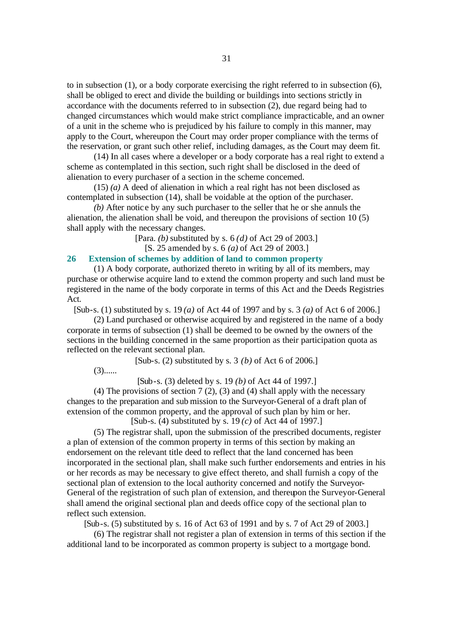to in subsection (1), or a body corporate exercising the right referred to in subsection (6), shall be obliged to erect and divide the building or buildings into sections strictly in accordance with the documents referred to in subsection (2), due regard being had to changed circumstances which would make strict compliance impracticable, and an owner of a unit in the scheme who is prejudiced by his failure to comply in this manner, may apply to the Court, whereupon the Court may order proper compliance with the terms of the reservation, or grant such other relief, including damages, as the Court may deem fit.

(14) In all cases where a developer or a body corporate has a real right to extend a scheme as contemplated in this section, such right shall be disclosed in the deed of alienation to every purchaser of a section in the scheme concerned.

(15) *(a)* A deed of alienation in which a real right has not been disclosed as contemplated in subsection (14), shall be voidable at the option of the purchaser.

*(b)* After notic e by any such purchaser to the seller that he or she annuls the alienation, the alienation shall be void, and thereupon the provisions of section 10 (5) shall apply with the necessary changes.

[Para. *(b)* substituted by s. 6 *(d)* of Act 29 of 2003.]

[S. 25 amended by s. 6 *(a)* of Act 29 of 2003.]

# **26 Extension of schemes by addition of land to common property**

(1) A body corporate, authorized thereto in writing by all of its members, may purchase or otherwise acquire land to extend the common property and such land must be registered in the name of the body corporate in terms of this Act and the Deeds Registries Act.

[Sub-s. (1) substituted by s. 19 *(a)* of Act 44 of 1997 and by s. 3 *(a)* of Act 6 of 2006.]

(2) Land purchased or otherwise acquired by and registered in the name of a body corporate in terms of subsection (1) shall be deemed to be owned by the owners of the sections in the building concerned in the same proportion as their participation quota as reflected on the relevant sectional plan.

[Sub-s. (2) substituted by s. 3 *(b)* of Act 6 of 2006.]

 $(3)$ ......

[Sub-s. (3) deleted by s. 19 *(b)* of Act 44 of 1997.]

(4) The provisions of section 7 (2), (3) and (4) shall apply with the necessary changes to the preparation and sub mission to the Surveyor-General of a draft plan of extension of the common property, and the approval of such plan by him or her.

[Sub-s. (4) substituted by s. 19 *(c)* of Act 44 of 1997.]

(5) The registrar shall, upon the submission of the prescribed documents, register a plan of extension of the common property in terms of this section by making an endorsement on the relevant title deed to reflect that the land concerned has been incorporated in the sectional plan, shall make such further endorsements and entries in his or her records as may be necessary to give effect thereto, and shall furnish a copy of the sectional plan of extension to the local authority concerned and notify the Surveyor-General of the registration of such plan of extension, and thereupon the Surveyor-General shall amend the original sectional plan and deeds office copy of the sectional plan to reflect such extension.

[Sub-s. (5) substituted by s. 16 of Act 63 of 1991 and by s. 7 of Act 29 of 2003.]

(6) The registrar shall not register a plan of extension in terms of this section if the additional land to be incorporated as common property is subject to a mortgage bond.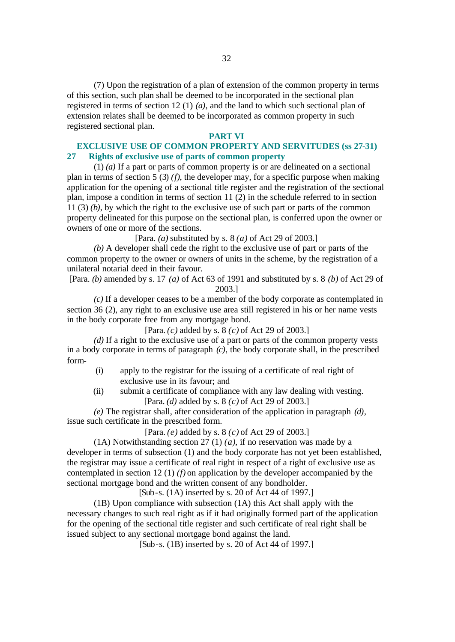(7) Upon the registration of a plan of extension of the common property in terms of this section, such plan shall be deemed to be incorporated in the sectional plan registered in terms of section 12 (1) *(a)*, and the land to which such sectional plan of extension relates shall be deemed to be incorporated as common property in such registered sectional plan.

#### **PART VI**

# **EXCLUSIVE USE OF COMMON PROPERTY AND SERVITUDES (ss 27-31) 27 Rights of exclusive use of parts of common property**

(1) *(a)* If a part or parts of common property is or are delineated on a sectional plan in terms of section 5 (3) *(f)*, the developer may, for a specific purpose when making application for the opening of a sectional title register and the registration of the sectional plan, impose a condition in terms of section 11 (2) in the schedule referred to in section 11 (3) *(b)*, by which the right to the exclusive use of such part or parts of the common property delineated for this purpose on the sectional plan, is conferred upon the owner or owners of one or more of the sections.

[Para. *(a)* substituted by s. 8 *(a)* of Act 29 of 2003.]

*(b)* A developer shall cede the right to the exclusive use of part or parts of the common property to the owner or owners of units in the scheme, by the registration of a unilateral notarial deed in their favour.

[Para. *(b)* amended by s. 17 *(a)* of Act 63 of 1991 and substituted by s. 8 *(b)* of Act 29 of 2003.]

*(c)* If a developer ceases to be a member of the body corporate as contemplated in section 36 (2), any right to an exclusive use area still registered in his or her name vests in the body corporate free from any mortgage bond.

[Para. *(c)* added by s. 8 *(c)* of Act 29 of 2003.]

*(d)* If a right to the exclusive use of a part or parts of the common property vests in a body corporate in terms of paragraph *(c)*, the body corporate shall, in the prescribed form-

- (i) apply to the registrar for the issuing of a certificate of real right of exclusive use in its favour; and
- (ii) submit a certificate of compliance with any law dealing with vesting. [Para. *(d)* added by s. 8 *(c)* of Act 29 of 2003.]

*(e)* The registrar shall, after consideration of the application in paragraph *(d)*, issue such certificate in the prescribed form.

[Para. *(e)* added by s. 8 *(c)* of Act 29 of 2003.]

(1A) Notwithstanding section 27 (1) *(a)*, if no reservation was made by a developer in terms of subsection (1) and the body corporate has not yet been established, the registrar may issue a certificate of real right in respect of a right of exclusive use as contemplated in section 12 (1) *(f)* on application by the developer accompanied by the sectional mortgage bond and the written consent of any bondholder.

[Sub-s. (1A) inserted by s. 20 of Act 44 of 1997.]

(1B) Upon compliance with subsection (1A) this Act shall apply with the necessary changes to such real right as if it had originally formed part of the application for the opening of the sectional title register and such certificate of real right shall be issued subject to any sectional mortgage bond against the land.

[Sub-s. (1B) inserted by s. 20 of Act 44 of 1997.]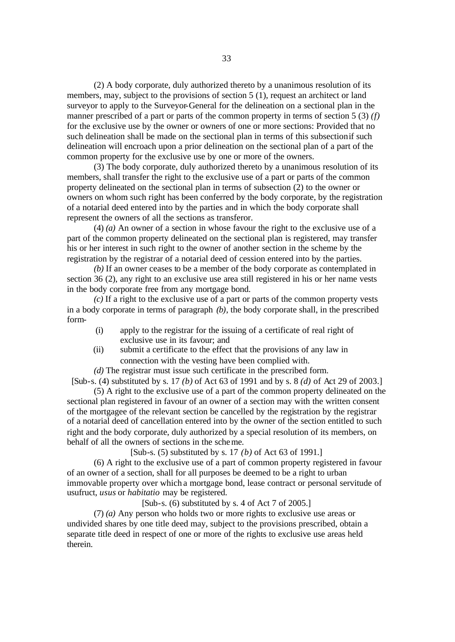(2) A body corporate, duly authorized thereto by a unanimous resolution of its members, may, subject to the provisions of section 5 (1), request an architect or land surveyor to apply to the Surveyor-General for the delineation on a sectional plan in the manner prescribed of a part or parts of the common property in terms of section 5 (3) *(f)* for the exclusive use by the owner or owners of one or more sections: Provided that no such delineation shall be made on the sectional plan in terms of this subsection if such delineation will encroach upon a prior delineation on the sectional plan of a part of the common property for the exclusive use by one or more of the owners.

(3) The body corporate, duly authorized thereto by a unanimous resolution of its members, shall transfer the right to the exclusive use of a part or parts of the common property delineated on the sectional plan in terms of subsection (2) to the owner or owners on whom such right has been conferred by the body corporate, by the registration of a notarial deed entered into by the parties and in which the body corporate shall represent the owners of all the sections as transferor.

(4) *(a)* An owner of a section in whose favour the right to the exclusive use of a part of the common property delineated on the sectional plan is registered, may transfer his or her interest in such right to the owner of another section in the scheme by the registration by the registrar of a notarial deed of cession entered into by the parties.

*(b)* If an owner ceases to be a member of the body corporate as contemplated in section 36 (2), any right to an exclusive use area still registered in his or her name vests in the body corporate free from any mortgage bond.

*(c)* If a right to the exclusive use of a part or parts of the common property vests in a body corporate in terms of paragraph *(b)*, the body corporate shall, in the prescribed form-

- (i) apply to the registrar for the issuing of a certificate of real right of exclusive use in its favour; and
- (ii) submit a certificate to the effect that the provisions of any law in connection with the vesting have been complied with.

*(d)* The registrar must issue such certificate in the prescribed form.

[Sub-s. (4) substituted by s. 17 *(b)* of Act 63 of 1991 and by s. 8 *(d)* of Act 29 of 2003.] (5) A right to the exclusive use of a part of the common property delineated on the

sectional plan registered in favour of an owner of a section may with the written consent of the mortgagee of the relevant section be cancelled by the registration by the registrar of a notarial deed of cancellation entered into by the owner of the section entitled to such right and the body corporate, duly authorized by a special resolution of its members, on behalf of all the owners of sections in the scheme.

[Sub-s. (5) substituted by s. 17 *(b)* of Act 63 of 1991.]

(6) A right to the exclusive use of a part of common property registered in favour of an owner of a section, shall for all purposes be deemed to be a right to urban immovable property over which a mortgage bond, lease contract or personal servitude of usufruct, *usus* or *habitatio* may be registered.

[Sub-s. (6) substituted by s. 4 of Act 7 of 2005.]

(7) *(a)* Any person who holds two or more rights to exclusive use areas or undivided shares by one title deed may, subject to the provisions prescribed, obtain a separate title deed in respect of one or more of the rights to exclusive use areas held therein.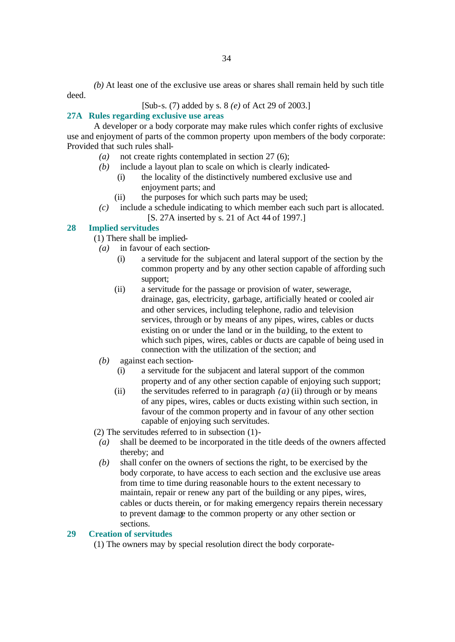*(b)* At least one of the exclusive use areas or shares shall remain held by such title deed.

[Sub-s. (7) added by s. 8 *(e)* of Act 29 of 2003.]

# **27A Rules regarding exclusive use areas**

A developer or a body corporate may make rules which confer rights of exclusive use and enjoyment of parts of the common property upon members of the body corporate: Provided that such rules shall-

- *(a)* not create rights contemplated in section 27 (6);
- *(b)* include a layout plan to scale on which is clearly indicated-
	- (i) the locality of the distinctively numbered exclusive use and enjoyment parts; and
	- (ii) the purposes for which such parts may be used;
- *(c)* include a schedule indicating to which member each such part is allocated.
	- [S. 27A inserted by s. 21 of Act 44 of 1997.]

# **28 Implied servitudes**

- (1) There shall be implied-
	- *(a)* in favour of each section-
		- (i) a servitude for the subjacent and lateral support of the section by the common property and by any other section capable of affording such support;
		- (ii) a servitude for the passage or provision of water, sewerage, drainage, gas, electricity, garbage, artificially heated or cooled air and other services, including telephone, radio and television services, through or by means of any pipes, wires, cables or ducts existing on or under the land or in the building, to the extent to which such pipes, wires, cables or ducts are capable of being used in connection with the utilization of the section; and
	- *(b)* against each section-
		- (i) a servitude for the subjacent and lateral support of the common property and of any other section capable of enjoying such support;
		- (ii) the servitudes referred to in paragraph *(a)* (ii) through or by means of any pipes, wires, cables or ducts existing within such section, in favour of the common property and in favour of any other section capable of enjoying such servitudes.

(2) The servitudes referred to in subsection (1)-

- *(a)* shall be deemed to be incorporated in the title deeds of the owners affected thereby; and
- *(b)* shall confer on the owners of sections the right, to be exercised by the body corporate, to have access to each section and the exclusive use areas from time to time during reasonable hours to the extent necessary to maintain, repair or renew any part of the building or any pipes, wires, cables or ducts therein, or for making emergency repairs therein necessary to prevent damage to the common property or any other section or sections.

### **29 Creation of servitudes**

(1) The owners may by special resolution direct the body corporate-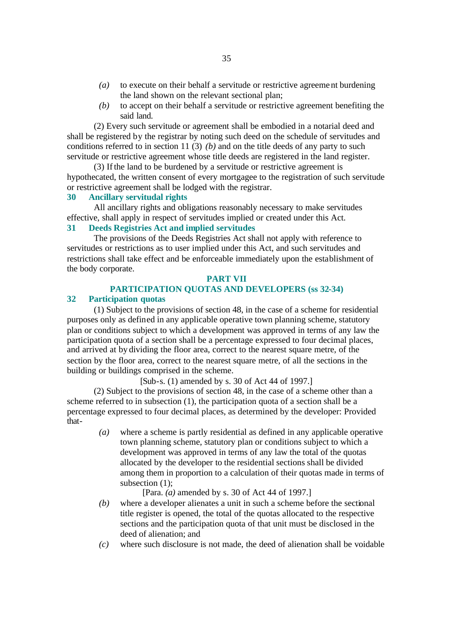- *(a)* to execute on their behalf a servitude or restrictive agreement burdening the land shown on the relevant sectional plan;
- *(b)* to accept on their behalf a servitude or restrictive agreement benefiting the said land.

(2) Every such servitude or agreement shall be embodied in a notarial deed and shall be registered by the registrar by noting such deed on the schedule of servitudes and conditions referred to in section 11 (3) *(b)* and on the title deeds of any party to such servitude or restrictive agreement whose title deeds are registered in the land register.

(3) If the land to be burdened by a servitude or restrictive agreement is hypothecated, the written consent of every mortgagee to the registration of such servitude or restrictive agreement shall be lodged with the registrar.

## **30 Ancillary servitudal rights**

All ancillary rights and obligations reasonably necessary to make servitudes effective, shall apply in respect of servitudes implied or created under this Act.

# **31 Deeds Registries Act and implied servitudes**

The provisions of the Deeds Registries Act shall not apply with reference to servitudes or restrictions as to user implied under this Act, and such servitudes and restrictions shall take effect and be enforceable immediately upon the establishment of the body corporate.

#### **PART VII**

# **PARTICIPATION QUOTAS AND DEVELOPERS (ss 32-34)**

# **32 Participation quotas**

(1) Subject to the provisions of section 48, in the case of a scheme for residential purposes only as defined in any applicable operative town planning scheme, statutory plan or conditions subject to which a development was approved in terms of any law the participation quota of a section shall be a percentage expressed to four decimal places, and arrived at by dividing the floor area, correct to the nearest square metre, of the section by the floor area, correct to the nearest square metre, of all the sections in the building or buildings comprised in the scheme.

[Sub-s. (1) amended by s. 30 of Act 44 of 1997.]

(2) Subject to the provisions of section 48, in the case of a scheme other than a scheme referred to in subsection (1), the participation quota of a section shall be a percentage expressed to four decimal places, as determined by the developer: Provided that-

> *(a)* where a scheme is partly residential as defined in any applicable operative town planning scheme, statutory plan or conditions subject to which a development was approved in terms of any law the total of the quotas allocated by the developer to the residential sections shall be divided among them in proportion to a calculation of their quotas made in terms of subsection (1);

> > [Para. *(a)* amended by s. 30 of Act 44 of 1997.]

- *(b)* where a developer alienates a unit in such a scheme before the sectional title register is opened, the total of the quotas allocated to the respective sections and the participation quota of that unit must be disclosed in the deed of alienation; and
- *(c)* where such disclosure is not made, the deed of alienation shall be voidable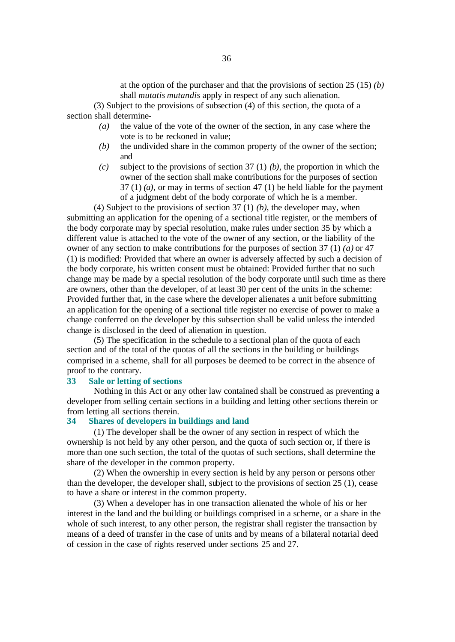at the option of the purchaser and that the provisions of section 25 (15) *(b)* shall *mutatis mutandis* apply in respect of any such alienation.

(3) Subject to the provisions of subsection (4) of this section, the quota of a section shall determine-

- *(a)* the value of the vote of the owner of the section, in any case where the vote is to be reckoned in value;
- *(b)* the undivided share in the common property of the owner of the section; and
- *(c)* subject to the provisions of section 37 (1) *(b)*, the proportion in which the owner of the section shall make contributions for the purposes of section  $37(1)$  *(a)*, or may in terms of section 47 (1) be held liable for the payment of a judgment debt of the body corporate of which he is a member.

(4) Subject to the provisions of section 37 (1) *(b)*, the developer may, when submitting an application for the opening of a sectional title register, or the members of the body corporate may by special resolution, make rules under section 35 by which a different value is attached to the vote of the owner of any section, or the liability of the owner of any section to make contributions for the purposes of section 37 (1) *(a)* or 47 (1) is modified: Provided that where an owner is adversely affected by such a decision of the body corporate, his written consent must be obtained: Provided further that no such change may be made by a special resolution of the body corporate until such time as there are owners, other than the developer, of at least 30 per cent of the units in the scheme: Provided further that, in the case where the developer alienates a unit before submitting an application for the opening of a sectional title register no exercise of power to make a change conferred on the developer by this subsection shall be valid unless the intended change is disclosed in the deed of alienation in question.

(5) The specification in the schedule to a sectional plan of the quota of each section and of the total of the quotas of all the sections in the building or buildings comprised in a scheme, shall for all purposes be deemed to be correct in the absence of proof to the contrary.

#### **33 Sale or letting of sections**

Nothing in this Act or any other law contained shall be construed as preventing a developer from selling certain sections in a building and letting other sections therein or from letting all sections therein.

### **34 Shares of developers in buildings and land**

(1) The developer shall be the owner of any section in respect of which the ownership is not held by any other person, and the quota of such section or, if there is more than one such section, the total of the quotas of such sections, shall determine the share of the developer in the common property.

(2) When the ownership in every section is held by any person or persons other than the developer, the developer shall, subject to the provisions of section 25 (1), cease to have a share or interest in the common property.

(3) When a developer has in one transaction alienated the whole of his or her interest in the land and the building or buildings comprised in a scheme, or a share in the whole of such interest, to any other person, the registrar shall register the transaction by means of a deed of transfer in the case of units and by means of a bilateral notarial deed of cession in the case of rights reserved under sections 25 and 27.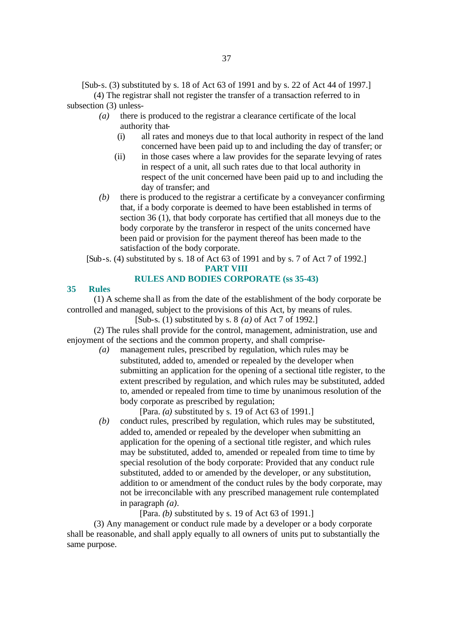[Sub-s. (3) substituted by s. 18 of Act 63 of 1991 and by s. 22 of Act 44 of 1997.]

(4) The registrar shall not register the transfer of a transaction referred to in subsection (3) unless-

- *(a)* there is produced to the registrar a clearance certificate of the local authority that-
	- (i) all rates and moneys due to that local authority in respect of the land concerned have been paid up to and including the day of transfer; or
	- (ii) in those cases where a law provides for the separate levying of rates in respect of a unit, all such rates due to that local authority in respect of the unit concerned have been paid up to and including the day of transfer; and
- *(b)* there is produced to the registrar a certificate by a conveyancer confirming that, if a body corporate is deemed to have been established in terms of section 36 (1), that body corporate has certified that all moneys due to the body corporate by the transferor in respect of the units concerned have been paid or provision for the payment thereof has been made to the satisfaction of the body corporate.

[Sub-s. (4) substituted by s. 18 of Act 63 of 1991 and by s. 7 of Act 7 of 1992.]

#### **PART VIII**

## **RULES AND BODIES CORPORATE (ss 35-43)**

### **35 Rules**

(1) A scheme sha ll as from the date of the establishment of the body corporate be controlled and managed, subject to the provisions of this Act, by means of rules.

[Sub-s. (1) substituted by s. 8 *(a)* of Act 7 of 1992.]

(2) The rules shall provide for the control, management, administration, use and enjoyment of the sections and the common property, and shall comprise-

> *(a)* management rules, prescribed by regulation, which rules may be substituted, added to, amended or repealed by the developer when submitting an application for the opening of a sectional title register, to the extent prescribed by regulation, and which rules may be substituted, added to, amended or repealed from time to time by unanimous resolution of the body corporate as prescribed by regulation;

[Para. *(a)* substituted by s. 19 of Act 63 of 1991.]

*(b)* conduct rules, prescribed by regulation, which rules may be substituted, added to, amended or repealed by the developer when submitting an application for the opening of a sectional title register, and which rules may be substituted, added to, amended or repealed from time to time by special resolution of the body corporate: Provided that any conduct rule substituted, added to or amended by the developer, or any substitution, addition to or amendment of the conduct rules by the body corporate, may not be irreconcilable with any prescribed management rule contemplated in paragraph *(a)*.

[Para. *(b)* substituted by s. 19 of Act 63 of 1991.]

(3) Any management or conduct rule made by a developer or a body corporate shall be reasonable, and shall apply equally to all owners of units put to substantially the same purpose.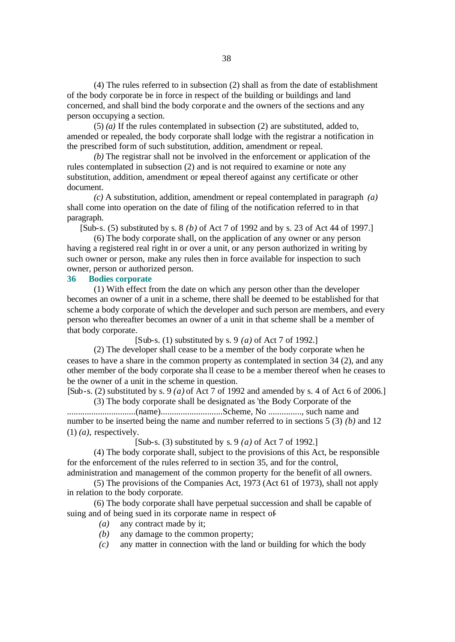(4) The rules referred to in subsection (2) shall as from the date of establishment of the body corporate be in force in respect of the building or buildings and land concerned, and shall bind the body corporate and the owners of the sections and any person occupying a section.

(5) *(a)* If the rules contemplated in subsection (2) are substituted, added to, amended or repealed, the body corporate shall lodge with the registrar a notification in the prescribed form of such substitution, addition, amendment or repeal.

*(b)* The registrar shall not be involved in the enforcement or application of the rules contemplated in subsection (2) and is not required to examine or note any substitution, addition, amendment or repeal thereof against any certificate or other document.

*(c)* A substitution, addition, amendment or repeal contemplated in paragraph *(a)* shall come into operation on the date of filing of the notification referred to in that paragraph.

[Sub-s. (5) substituted by s. 8 *(b)* of Act 7 of 1992 and by s. 23 of Act 44 of 1997.]

(6) The body corporate shall, on the application of any owner or any person having a registered real right in or over a unit, or any person authorized in writing by such owner or person, make any rules then in force available for inspection to such owner, person or authorized person.

# **36 Bodies corporate**

(1) With effect from the date on which any person other than the developer becomes an owner of a unit in a scheme, there shall be deemed to be established for that scheme a body corporate of which the developer and such person are members, and every person who thereafter becomes an owner of a unit in that scheme shall be a member of that body corporate.

[Sub-s. (1) substituted by s. 9 *(a)* of Act 7 of 1992.]

(2) The developer shall cease to be a member of the body corporate when he ceases to have a share in the common property as contemplated in section 34 (2), and any other member of the body corporate sha ll cease to be a member thereof when he ceases to be the owner of a unit in the scheme in question.

[Sub-s. (2) substituted by s. 9 *(a)* of Act 7 of 1992 and amended by s. 4 of Act 6 of 2006.] (3) The body corporate shall be designated as 'the Body Corporate of the

...............................(name)............................Scheme, No ..............., such name and number to be inserted being the name and number referred to in sections 5 (3) *(b)* and 12 (1) *(a)*, respectively.

[Sub-s. (3) substituted by s. 9 *(a)* of Act 7 of 1992.]

(4) The body corporate shall, subject to the provisions of this Act, be responsible for the enforcement of the rules referred to in section 35, and for the control, administration and management of the common property for the benefit of all owners.

(5) The provisions of the Companies Act, 1973 (Act 61 of 1973), shall not apply in relation to the body corporate.

(6) The body corporate shall have perpetual succession and shall be capable of suing and of being sued in its corporate name in respect of-

- *(a)* any contract made by it;
- *(b)* any damage to the common property;
- *(c)* any matter in connection with the land or building for which the body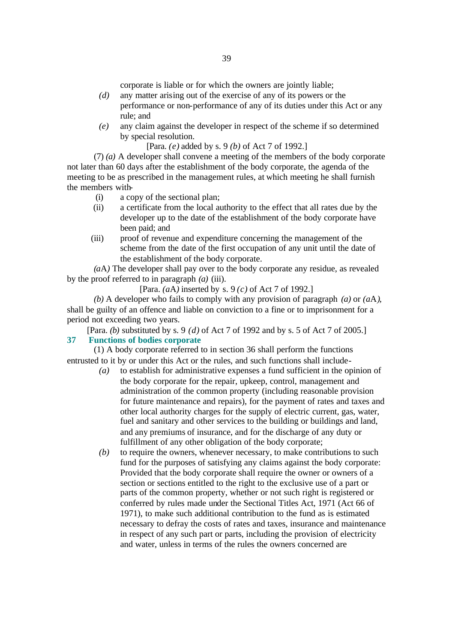corporate is liable or for which the owners are jointly liable;

- *(d)* any matter arising out of the exercise of any of its powers or the performance or non-performance of any of its duties under this Act or any rule; and
- *(e)* any claim against the developer in respect of the scheme if so determined by special resolution.

[Para. *(e)* added by s. 9 *(b)* of Act 7 of 1992.]

(7) *(a)* A developer shall convene a meeting of the members of the body corporate not later than 60 days after the establishment of the body corporate, the agenda of the meeting to be as prescribed in the management rules, at which meeting he shall furnish the members with-

- (i) a copy of the sectional plan;
- (ii) a certificate from the local authority to the effect that all rates due by the developer up to the date of the establishment of the body corporate have been paid; and
- (iii) proof of revenue and expenditure concerning the management of the scheme from the date of the first occupation of any unit until the date of the establishment of the body corporate.

*(a*A*)* The developer shall pay over to the body corporate any residue, as revealed by the proof referred to in paragraph *(a)* (iii).

[Para. *(a*A*)* inserted by s. 9 *(c)* of Act 7 of 1992.]

*(b)* A developer who fails to comply with any provision of paragraph *(a)* or *(a*A*)*, shall be guilty of an offence and liable on conviction to a fine or to imprisonment for a period not exceeding two years.

[Para. *(b)* substituted by s. 9 *(d)* of Act 7 of 1992 and by s. 5 of Act 7 of 2005.] **37 Functions of bodies corporate**

(1) A body corporate referred to in section 36 shall perform the functions entrusted to it by or under this Act or the rules, and such functions shall include-

- *(a)* to establish for administrative expenses a fund sufficient in the opinion of the body corporate for the repair, upkeep, control, management and administration of the common property (including reasonable provision for future maintenance and repairs), for the payment of rates and taxes and other local authority charges for the supply of electric current, gas, water, fuel and sanitary and other services to the building or buildings and land, and any premiums of insurance, and for the discharge of any duty or fulfillment of any other obligation of the body corporate;
- *(b)* to require the owners, whenever necessary, to make contributions to such fund for the purposes of satisfying any claims against the body corporate: Provided that the body corporate shall require the owner or owners of a section or sections entitled to the right to the exclusive use of a part or parts of the common property, whether or not such right is registered or conferred by rules made under the Sectional Titles Act, 1971 (Act 66 of 1971), to make such additional contribution to the fund as is estimated necessary to defray the costs of rates and taxes, insurance and maintenance in respect of any such part or parts, including the provision of electricity and water, unless in terms of the rules the owners concerned are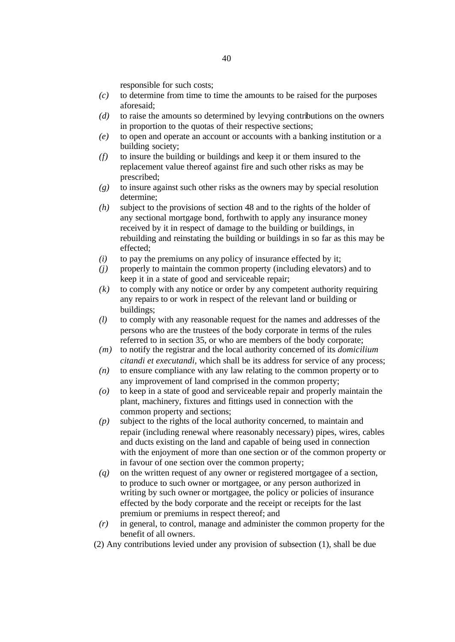responsible for such costs;

- *(c)* to determine from time to time the amounts to be raised for the purposes aforesaid;
- *(d)* to raise the amounts so determined by levying contributions on the owners in proportion to the quotas of their respective sections;
- *(e)* to open and operate an account or accounts with a banking institution or a building society;
- *(f)* to insure the building or buildings and keep it or them insured to the replacement value thereof against fire and such other risks as may be prescribed;
- *(g)* to insure against such other risks as the owners may by special resolution determine;
- *(h)* subject to the provisions of section 48 and to the rights of the holder of any sectional mortgage bond, forthwith to apply any insurance money received by it in respect of damage to the building or buildings, in rebuilding and reinstating the building or buildings in so far as this may be effected;
- *(i)* to pay the premiums on any policy of insurance effected by it;
- *(j)* properly to maintain the common property (including elevators) and to keep it in a state of good and serviceable repair;
- *(k)* to comply with any notice or order by any competent authority requiring any repairs to or work in respect of the relevant land or building or buildings;
- *(l)* to comply with any reasonable request for the names and addresses of the persons who are the trustees of the body corporate in terms of the rules referred to in section 35, or who are members of the body corporate;
- *(m)* to notify the registrar and the local authority concerned of its *domicilium citandi et executandi,* which shall be its address for service of any process;
- *(n)* to ensure compliance with any law relating to the common property or to any improvement of land comprised in the common property;
- *(o)* to keep in a state of good and serviceable repair and properly maintain the plant, machinery, fixtures and fittings used in connection with the common property and sections;
- *(p)* subject to the rights of the local authority concerned, to maintain and repair (including renewal where reasonably necessary) pipes, wires, cables and ducts existing on the land and capable of being used in connection with the enjoyment of more than one section or of the common property or in favour of one section over the common property;
- *(q)* on the written request of any owner or registered mortgagee of a section, to produce to such owner or mortgagee, or any person authorized in writing by such owner or mortgagee, the policy or policies of insurance effected by the body corporate and the receipt or receipts for the last premium or premiums in respect thereof; and
- *(r)* in general, to control, manage and administer the common property for the benefit of all owners.
- (2) Any contributions levied under any provision of subsection (1), shall be due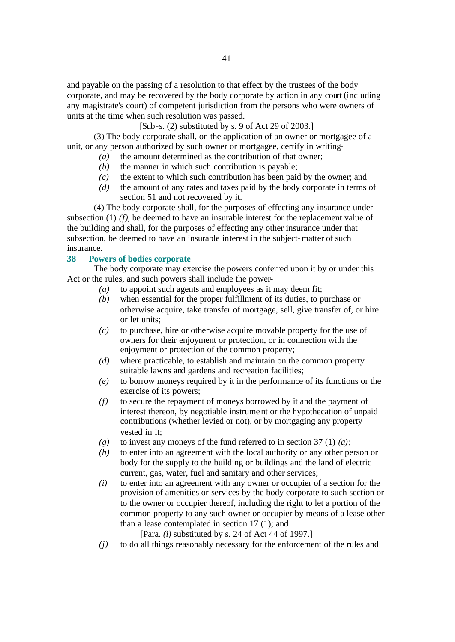and payable on the passing of a resolution to that effect by the trustees of the body corporate, and may be recovered by the body corporate by action in any court (including any magistrate's court) of competent jurisdiction from the persons who were owners of units at the time when such resolution was passed.

[Sub-s. (2) substituted by s. 9 of Act 29 of 2003.]

(3) The body corporate shall, on the application of an owner or mortgagee of a unit, or any person authorized by such owner or mortgagee, certify in writing-

- *(a)* the amount determined as the contribution of that owner;
- *(b)* the manner in which such contribution is payable;
- *(c)* the extent to which such contribution has been paid by the owner; and
- *(d)* the amount of any rates and taxes paid by the body corporate in terms of section 51 and not recovered by it.

(4) The body corporate shall, for the purposes of effecting any insurance under subsection (1) *(f)*, be deemed to have an insurable interest for the replacement value of the building and shall, for the purposes of effecting any other insurance under that subsection, be deemed to have an insurable interest in the subject-matter of such insurance.

### **38 Powers of bodies corporate**

The body corporate may exercise the powers conferred upon it by or under this Act or the rules, and such powers shall include the power-

- *(a)* to appoint such agents and employees as it may deem fit;
- *(b)* when essential for the proper fulfillment of its duties, to purchase or otherwise acquire, take transfer of mortgage, sell, give transfer of, or hire or let units;
- *(c)* to purchase, hire or otherwise acquire movable property for the use of owners for their enjoyment or protection, or in connection with the enjoyment or protection of the common property;
- *(d)* where practicable, to establish and maintain on the common property suitable lawns and gardens and recreation facilities;
- *(e)* to borrow moneys required by it in the performance of its functions or the exercise of its powers;
- *(f)* to secure the repayment of moneys borrowed by it and the payment of interest thereon, by negotiable instrument or the hypothecation of unpaid contributions (whether levied or not), or by mortgaging any property vested in it;
- *(g)* to invest any moneys of the fund referred to in section 37 (1) *(a)*;
- *(h)* to enter into an agreement with the local authority or any other person or body for the supply to the building or buildings and the land of electric current, gas, water, fuel and sanitary and other services;
- *(i)* to enter into an agreement with any owner or occupier of a section for the provision of amenities or services by the body corporate to such section or to the owner or occupier thereof, including the right to let a portion of the common property to any such owner or occupier by means of a lease other than a lease contemplated in section 17 (1); and

[Para. *(i)* substituted by s. 24 of Act 44 of 1997.]

*(j)* to do all things reasonably necessary for the enforcement of the rules and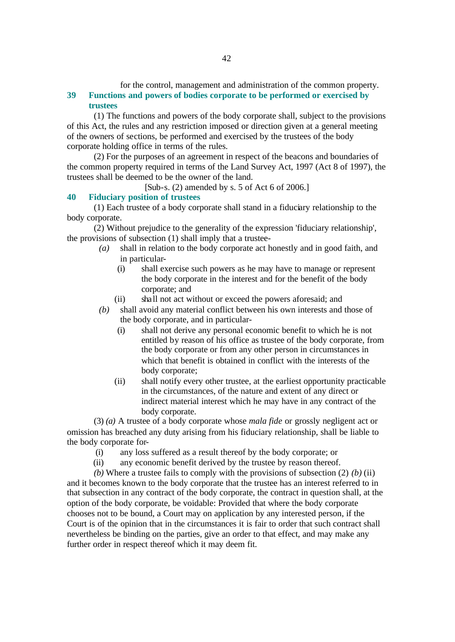for the control, management and administration of the common property.

# **39 Functions and powers of bodies corporate to be performed or exercised by trustees**

(1) The functions and powers of the body corporate shall, subject to the provisions of this Act, the rules and any restriction imposed or direction given at a general meeting of the owners of sections, be performed and exercised by the trustees of the body corporate holding office in terms of the rules.

(2) For the purposes of an agreement in respect of the beacons and boundaries of the common property required in terms of the Land Survey Act, 1997 (Act 8 of 1997), the trustees shall be deemed to be the owner of the land.

[Sub-s. (2) amended by s. 5 of Act 6 of 2006.]

# **40 Fiduciary position of trustees**

(1) Each trustee of a body corporate shall stand in a fiduciary relationship to the body corporate.

(2) Without prejudice to the generality of the expression 'fiduciary relationship', the provisions of subsection (1) shall imply that a trustee-

- *(a)* shall in relation to the body corporate act honestly and in good faith, and in particular-
	- (i) shall exercise such powers as he may have to manage or represent the body corporate in the interest and for the benefit of the body corporate; and
	- (ii) sha ll not act without or exceed the powers aforesaid; and
- *(b)* shall avoid any material conflict between his own interests and those of the body corporate, and in particular-
	- (i) shall not derive any personal economic benefit to which he is not entitled by reason of his office as trustee of the body corporate, from the body corporate or from any other person in circumstances in which that benefit is obtained in conflict with the interests of the body corporate;
	- (ii) shall notify every other trustee, at the earliest opportunity practicable in the circumstances, of the nature and extent of any direct or indirect material interest which he may have in any contract of the body corporate.

(3) *(a)* A trustee of a body corporate whose *mala fide* or grossly negligent act or omission has breached any duty arising from his fiduciary relationship, shall be liable to the body corporate for-

- (i) any loss suffered as a result thereof by the body corporate; or
- (ii) any economic benefit derived by the trustee by reason thereof.

*(b)* Where a trustee fails to comply with the provisions of subsection (2) *(b)* (ii) and it becomes known to the body corporate that the trustee has an interest referred to in that subsection in any contract of the body corporate, the contract in question shall, at the option of the body corporate, be voidable: Provided that where the body corporate chooses not to be bound, a Court may on application by any interested person, if the Court is of the opinion that in the circumstances it is fair to order that such contract shall nevertheless be binding on the parties, give an order to that effect, and may make any further order in respect thereof which it may deem fit.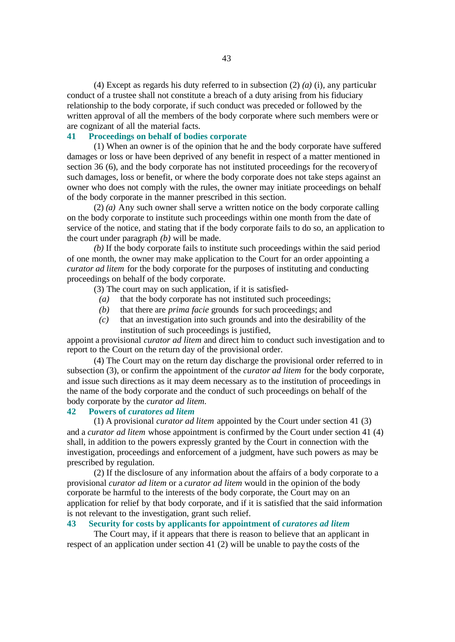(4) Except as regards his duty referred to in subsection (2) *(a)* (i), any particular conduct of a trustee shall not constitute a breach of a duty arising from his fiduciary relationship to the body corporate, if such conduct was preceded or followed by the written approval of all the members of the body corporate where such members were or are cognizant of all the material facts.

# **41 Proceedings on behalf of bodies corporate**

(1) When an owner is of the opinion that he and the body corporate have suffered damages or loss or have been deprived of any benefit in respect of a matter mentioned in section 36 (6), and the body corporate has not instituted proceedings for the recovery of such damages, loss or benefit, or where the body corporate does not take steps against an owner who does not comply with the rules, the owner may initiate proceedings on behalf of the body corporate in the manner prescribed in this section.

(2) *(a)* Any such owner shall serve a written notice on the body corporate calling on the body corporate to institute such proceedings within one month from the date of service of the notice, and stating that if the body corporate fails to do so, an application to the court under paragraph *(b)* will be made.

*(b)* If the body corporate fails to institute such proceedings within the said period of one month, the owner may make application to the Court for an order appointing a *curator ad litem* for the body corporate for the purposes of instituting and conducting proceedings on behalf of the body corporate.

- (3) The court may on such application, if it is satisfied-
	- *(a)* that the body corporate has not instituted such proceedings;
	- *(b)* that there are *prima facie* grounds for such proceedings; and
	- *(c)* that an investigation into such grounds and into the desirability of the institution of such proceedings is justified,

appoint a provisional *curator ad litem* and direct him to conduct such investigation and to report to the Court on the return day of the provisional order.

(4) The Court may on the return day discharge the provisional order referred to in subsection (3), or confirm the appointment of the *curator ad litem* for the body corporate, and issue such directions as it may deem necessary as to the institution of proceedings in the name of the body corporate and the conduct of such proceedings on behalf of the body corporate by the *curator ad litem*.

### **42 Powers of** *curatores ad litem*

(1) A provisional *curator ad litem* appointed by the Court under section 41 (3) and a *curator ad litem* whose appointment is confirmed by the Court under section 41 (4) shall, in addition to the powers expressly granted by the Court in connection with the investigation, proceedings and enforcement of a judgment, have such powers as may be prescribed by regulation.

(2) If the disclosure of any information about the affairs of a body corporate to a provisional *curator ad litem* or a *curator ad litem* would in the opinion of the body corporate be harmful to the interests of the body corporate, the Court may on an application for relief by that body corporate, and if it is satisfied that the said information is not relevant to the investigation, grant such relief.

# **43 Security for costs by applicants for appointment of** *curatores ad litem*

The Court may, if it appears that there is reason to believe that an applicant in respect of an application under section 41 (2) will be unable to pay the costs of the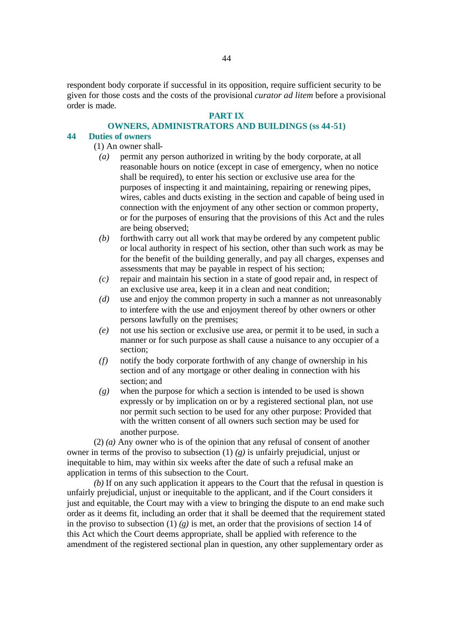respondent body corporate if successful in its opposition, require sufficient security to be given for those costs and the costs of the provisional *curator ad litem* before a provisional order is made.

### **PART IX**

### **OWNERS, ADMINISTRATORS AND BUILDINGS (ss 44-51)**

### **44 Duties of owners**

(1) An owner shall-

- *(a)* permit any person authorized in writing by the body corporate, at all reasonable hours on notice (except in case of emergency, when no notice shall be required), to enter his section or exclusive use area for the purposes of inspecting it and maintaining, repairing or renewing pipes, wires, cables and ducts existing in the section and capable of being used in connection with the enjoyment of any other section or common property, or for the purposes of ensuring that the provisions of this Act and the rules are being observed;
- *(b)* forthwith carry out all work that may be ordered by any competent public or local authority in respect of his section, other than such work as may be for the benefit of the building generally, and pay all charges, expenses and assessments that may be payable in respect of his section;
- *(c)* repair and maintain his section in a state of good repair and, in respect of an exclusive use area, keep it in a clean and neat condition;
- *(d)* use and enjoy the common property in such a manner as not unreasonably to interfere with the use and enjoyment thereof by other owners or other persons lawfully on the premises;
- *(e)* not use his section or exclusive use area, or permit it to be used, in such a manner or for such purpose as shall cause a nuisance to any occupier of a section;
- *(f)* notify the body corporate forthwith of any change of ownership in his section and of any mortgage or other dealing in connection with his section; and
- *(g)* when the purpose for which a section is intended to be used is shown expressly or by implication on or by a registered sectional plan, not use nor permit such section to be used for any other purpose: Provided that with the written consent of all owners such section may be used for another purpose.

(2) *(a)* Any owner who is of the opinion that any refusal of consent of another owner in terms of the proviso to subsection (1) *(g)* is unfairly prejudicial, unjust or inequitable to him, may within six weeks after the date of such a refusal make an application in terms of this subsection to the Court.

*(b)* If on any such application it appears to the Court that the refusal in question is unfairly prejudicial, unjust or inequitable to the applicant, and if the Court considers it just and equitable, the Court may with a view to bringing the dispute to an end make such order as it deems fit, including an order that it shall be deemed that the requirement stated in the proviso to subsection (1)  $(g)$  is met, an order that the provisions of section 14 of this Act which the Court deems appropriate, shall be applied with reference to the amendment of the registered sectional plan in question, any other supplementary order as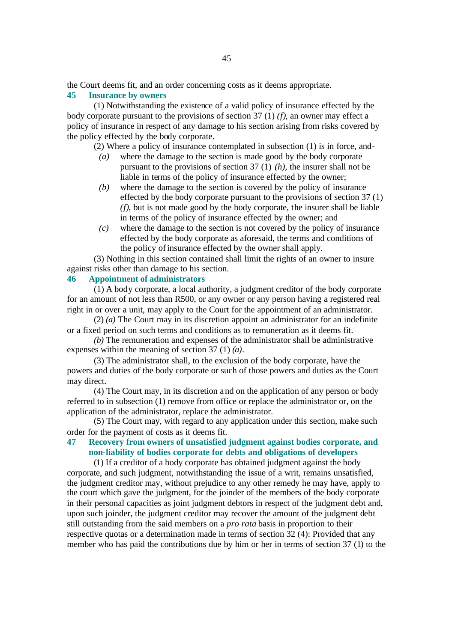the Court deems fit, and an order concerning costs as it deems appropriate.

### **45 Insurance by owners**

(1) Notwithstanding the existence of a valid policy of insurance effected by the body corporate pursuant to the provisions of section 37 (1) *(f)*, an owner may effect a policy of insurance in respect of any damage to his section arising from risks covered by the policy effected by the body corporate.

(2) Where a policy of insurance contemplated in subsection (1) is in force, and-

- *(a)* where the damage to the section is made good by the body corporate pursuant to the provisions of section 37 (1) *(h)*, the insurer shall not be liable in terms of the policy of insurance effected by the owner;
- *(b)* where the damage to the section is covered by the policy of insurance effected by the body corporate pursuant to the provisions of section 37 (1) *(f)*, but is not made good by the body corporate, the insurer shall be liable in terms of the policy of insurance effected by the owner; and
- *(c)* where the damage to the section is not covered by the policy of insurance effected by the body corporate as aforesaid, the terms and conditions of the policy of insurance effected by the owner shall apply.

(3) Nothing in this section contained shall limit the rights of an owner to insure against risks other than damage to his section.

## **46 Appointment of administrators**

(1) A body corporate, a local authority, a judgment creditor of the body corporate for an amount of not less than R500, or any owner or any person having a registered real right in or over a unit, may apply to the Court for the appointment of an administrator.

(2) *(a)* The Court may in its discretion appoint an administrator for an indefinite or a fixed period on such terms and conditions as to remuneration as it deems fit.

*(b)* The remuneration and expenses of the administrator shall be administrative expenses within the meaning of section 37 (1) *(a)*.

(3) The administrator shall, to the exclusion of the body corporate, have the powers and duties of the body corporate or such of those powers and duties as the Court may direct.

(4) The Court may, in its discretion and on the application of any person or body referred to in subsection (1) remove from office or replace the administrator or, on the application of the administrator, replace the administrator.

(5) The Court may, with regard to any application under this section, make such order for the payment of costs as it deems fit.

# **47 Recovery from owners of unsatisfied judgment against bodies corporate, and non-liability of bodies corporate for debts and obligations of developers**

(1) If a creditor of a body corporate has obtained judgment against the body corporate, and such judgment, notwithstanding the issue of a writ, remains unsatisfied, the judgment creditor may, without prejudice to any other remedy he may have, apply to the court which gave the judgment, for the joinder of the members of the body corporate in their personal capacities as joint judgment debtors in respect of the judgment debt and, upon such joinder, the judgment creditor may recover the amount of the judgment debt still outstanding from the said members on a *pro rata* basis in proportion to their respective quotas or a determination made in terms of section 32 (4): Provided that any member who has paid the contributions due by him or her in terms of section 37 (1) to the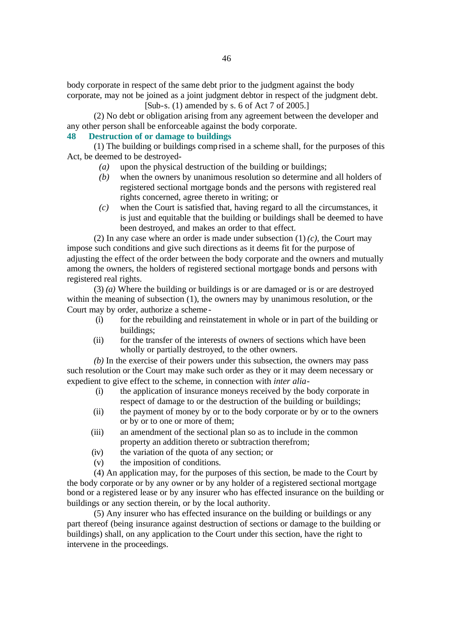body corporate in respect of the same debt prior to the judgment against the body corporate, may not be joined as a joint judgment debtor in respect of the judgment debt. [Sub-s. (1) amended by s. 6 of Act 7 of 2005.]

(2) No debt or obligation arising from any agreement between the developer and any other person shall be enforceable against the body corporate.

## **48 Destruction of or damage to buildings**

(1) The building or buildings comprised in a scheme shall, for the purposes of this Act, be deemed to be destroyed-

- *(a)* upon the physical destruction of the building or buildings;
- *(b)* when the owners by unanimous resolution so determine and all holders of registered sectional mortgage bonds and the persons with registered real rights concerned, agree thereto in writing; or
- *(c)* when the Court is satisfied that, having regard to all the circumstances, it is just and equitable that the building or buildings shall be deemed to have been destroyed, and makes an order to that effect.

(2) In any case where an order is made under subsection  $(1)$   $(c)$ , the Court may impose such conditions and give such directions as it deems fit for the purpose of adjusting the effect of the order between the body corporate and the owners and mutually among the owners, the holders of registered sectional mortgage bonds and persons with registered real rights.

(3) *(a)* Where the building or buildings is or are damaged or is or are destroyed within the meaning of subsection (1), the owners may by unanimous resolution, or the Court may by order, authorize a scheme -

- (i) for the rebuilding and reinstatement in whole or in part of the building or buildings;
- (ii) for the transfer of the interests of owners of sections which have been wholly or partially destroyed, to the other owners.

*(b)* In the exercise of their powers under this subsection, the owners may pass such resolution or the Court may make such order as they or it may deem necessary or expedient to give effect to the scheme, in connection with *inter alia*-

- (i) the application of insurance moneys received by the body corporate in respect of damage to or the destruction of the building or buildings;
- (ii) the payment of money by or to the body corporate or by or to the owners or by or to one or more of them;
- (iii) an amendment of the sectional plan so as to include in the common property an addition thereto or subtraction therefrom;
- (iv) the variation of the quota of any section; or
- (v) the imposition of conditions.

(4) An application may, for the purposes of this section, be made to the Court by the body corporate or by any owner or by any holder of a registered sectional mortgage bond or a registered lease or by any insurer who has effected insurance on the building or buildings or any section therein, or by the local authority.

(5) Any insurer who has effected insurance on the building or buildings or any part thereof (being insurance against destruction of sections or damage to the building or buildings) shall, on any application to the Court under this section, have the right to intervene in the proceedings.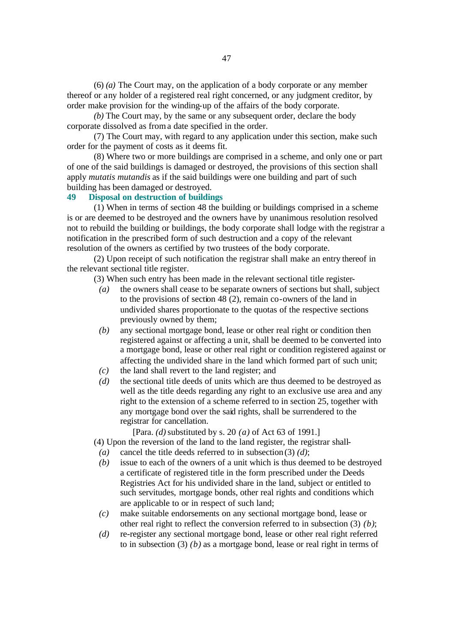(6) *(a)* The Court may, on the application of a body corporate or any member thereof or any holder of a registered real right concerned, or any judgment creditor, by order make provision for the winding-up of the affairs of the body corporate.

*(b)* The Court may, by the same or any subsequent order, declare the body corporate dissolved as from a date specified in the order.

(7) The Court may, with regard to any application under this section, make such order for the payment of costs as it deems fit.

(8) Where two or more buildings are comprised in a scheme, and only one or part of one of the said buildings is damaged or destroyed, the provisions of this section shall apply *mutatis mutandis* as if the said buildings were one building and part of such building has been damaged or destroyed.

# **49 Disposal on destruction of buildings**

(1) When in terms of section 48 the building or buildings comprised in a scheme is or are deemed to be destroyed and the owners have by unanimous resolution resolved not to rebuild the building or buildings, the body corporate shall lodge with the registrar a notification in the prescribed form of such destruction and a copy of the relevant resolution of the owners as certified by two trustees of the body corporate.

(2) Upon receipt of such notification the registrar shall make an entry thereof in the relevant sectional title register.

(3) When such entry has been made in the relevant sectional title register-

- *(a)* the owners shall cease to be separate owners of sections but shall, subject to the provisions of section 48 (2), remain co-owners of the land in undivided shares proportionate to the quotas of the respective sections previously owned by them;
- *(b)* any sectional mortgage bond, lease or other real right or condition then registered against or affecting a unit, shall be deemed to be converted into a mortgage bond, lease or other real right or condition registered against or affecting the undivided share in the land which formed part of such unit;
- *(c)* the land shall revert to the land register; and
- *(d)* the sectional title deeds of units which are thus deemed to be destroyed as well as the title deeds regarding any right to an exclusive use area and any right to the extension of a scheme referred to in section 25, together with any mortgage bond over the said rights, shall be surrendered to the registrar for cancellation.

[Para. *(d)* substituted by s. 20 *(a)* of Act 63 of 1991.]

(4) Upon the reversion of the land to the land register, the registrar shall-

- *(a)* cancel the title deeds referred to in subsection (3) *(d)*;
- *(b)* issue to each of the owners of a unit which is thus deemed to be destroyed a certificate of registered title in the form prescribed under the Deeds Registries Act for his undivided share in the land, subject or entitled to such servitudes, mortgage bonds, other real rights and conditions which are applicable to or in respect of such land;
- *(c)* make suitable endorsements on any sectional mortgage bond, lease or other real right to reflect the conversion referred to in subsection (3) *(b)*;
- *(d)* re-register any sectional mortgage bond, lease or other real right referred to in subsection (3) *(b)* as a mortgage bond, lease or real right in terms of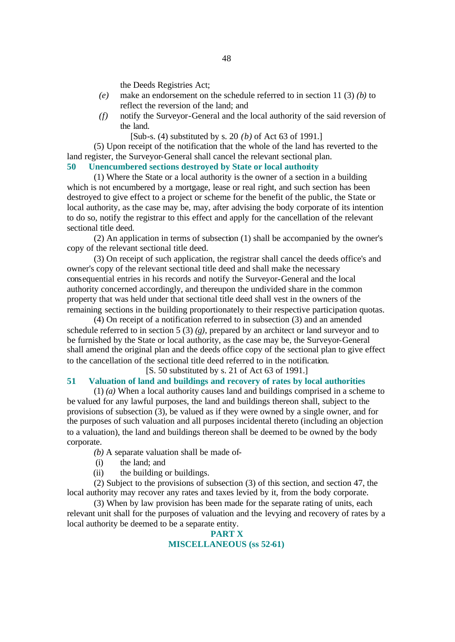the Deeds Registries Act;

- *(e)* make an endorsement on the schedule referred to in section 11 (3) *(b)* to reflect the reversion of the land; and
- *(f)* notify the Surveyor-General and the local authority of the said reversion of the land.
	- [Sub-s. (4) substituted by s. 20 *(b)* of Act 63 of 1991.]

(5) Upon receipt of the notification that the whole of the land has reverted to the land register, the Surveyor-General shall cancel the relevant sectional plan.

### **50 Unencumbered sections destroyed by State or local authority**

(1) Where the State or a local authority is the owner of a section in a building which is not encumbered by a mortgage, lease or real right, and such section has been destroyed to give effect to a project or scheme for the benefit of the public, the State or local authority, as the case may be, may, after advising the body corporate of its intention to do so, notify the registrar to this effect and apply for the cancellation of the relevant sectional title deed.

(2) An application in terms of subsection (1) shall be accompanied by the owner's copy of the relevant sectional title deed.

(3) On receipt of such application, the registrar shall cancel the deeds office's and owner's copy of the relevant sectional title deed and shall make the necessary consequential entries in his records and notify the Surveyor-General and the local authority concerned accordingly, and thereupon the undivided share in the common property that was held under that sectional title deed shall vest in the owners of the remaining sections in the building proportionately to their respective participation quotas.

(4) On receipt of a notification referred to in subsection (3) and an amended schedule referred to in section 5 (3) *(g)*, prepared by an architect or land surveyor and to be furnished by the State or local authority, as the case may be, the Surveyor-General shall amend the original plan and the deeds office copy of the sectional plan to give effect to the cancellation of the sectional title deed referred to in the notification.

[S. 50 substituted by s. 21 of Act 63 of 1991.]

# **51 Valuation of land and buildings and recovery of rates by local authorities**

(1) *(a)* When a local authority causes land and buildings comprised in a scheme to be valued for any lawful purposes, the land and buildings thereon shall, subject to the provisions of subsection (3), be valued as if they were owned by a single owner, and for the purposes of such valuation and all purposes incidental thereto (including an objection to a valuation), the land and buildings thereon shall be deemed to be owned by the body corporate.

*(b)* A separate valuation shall be made of-

- (i) the land; and
- (ii) the building or buildings.

(2) Subject to the provisions of subsection (3) of this section, and section 47, the local authority may recover any rates and taxes levied by it, from the body corporate.

(3) When by law provision has been made for the separate rating of units, each relevant unit shall for the purposes of valuation and the levying and recovery of rates by a local authority be deemed to be a separate entity.

## **PART X MISCELLANEOUS (ss 52-61)**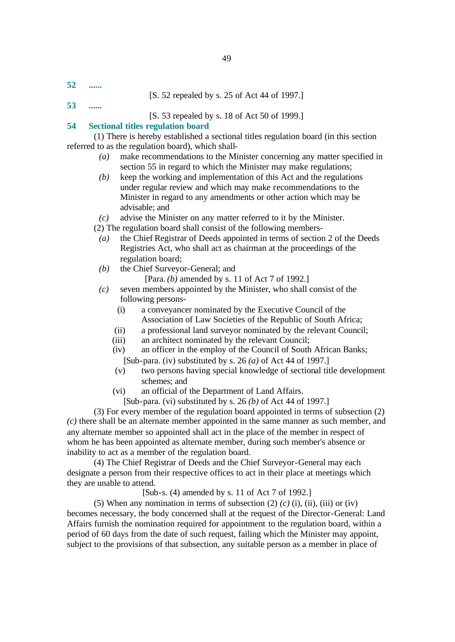**52 ......**

## [S. 52 repealed by s. 25 of Act 44 of 1997.]

**53 ......**

[S. 53 repealed by s. 18 of Act 50 of 1999.]

### **54 Sectional titles regulation board**

(1) There is hereby established a sectional titles regulation board (in this section referred to as the regulation board), which shall-

- *(a)* make recommendations to the Minister concerning any matter specified in section 55 in regard to which the Minister may make regulations;
- *(b)* keep the working and implementation of this Act and the regulations under regular review and which may make recommendations to the Minister in regard to any amendments or other action which may be advisable; and
- *(c)* advise the Minister on any matter referred to it by the Minister.

(2) The regulation board shall consist of the following members-

- *(a)* the Chief Registrar of Deeds appointed in terms of section 2 of the Deeds Registries Act, who shall act as chairman at the proceedings of the regulation board;
- *(b)* the Chief Surveyor-General; and
	- [Para. *(b)* amended by s. 11 of Act 7 of 1992.]
- *(c)* seven members appointed by the Minister, who shall consist of the following persons-
	- (i) a conveyancer nominated by the Executive Council of the Association of Law Societies of the Republic of South Africa;
	- (ii) a professional land surveyor nominated by the relevant Council;
	- (iii) an architect nominated by the relevant Council;
	- (iv) an officer in the employ of the Council of South African Banks; [Sub-para. (iv) substituted by s. 26 *(a)* of Act 44 of 1997.]
	- (v) two persons having special knowledge of sectional title development schemes; and
	- (vi) an official of the Department of Land Affairs.
		- [Sub-para. (vi) substituted by s. 26 *(b)* of Act 44 of 1997.]

(3) For every member of the regulation board appointed in terms of subsection (2) *(c)* there shall be an alternate member appointed in the same manner as such member, and any alternate member so appointed shall act in the place of the member in respect of whom he has been appointed as alternate member, during such member's absence or inability to act as a member of the regulation board.

(4) The Chief Registrar of Deeds and the Chief Surveyor-General may each designate a person from their respective offices to act in their place at meetings which they are unable to attend.

[Sub-s. (4) amended by s. 11 of Act 7 of 1992.]

(5) When any nomination in terms of subsection  $(2)$   $(c)$   $(i)$ ,  $(ii)$ ,  $(iii)$  or  $(iv)$ becomes necessary, the body concerned shall at the request of the Director-General: Land Affairs furnish the nomination required for appointment to the regulation board, within a period of 60 days from the date of such request, failing which the Minister may appoint, subject to the provisions of that subsection, any suitable person as a member in place of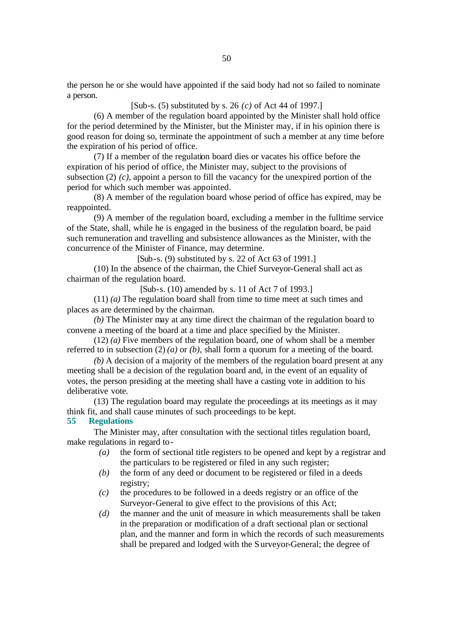the person he or she would have appointed if the said body had not so failed to nominate a person.

[Sub-s. (5) substituted by s. 26 *(c)* of Act 44 of 1997.]

(6) A member of the regulation board appointed by the Minister shall hold office for the period determined by the Minister, but the Minister may, if in his opinion there is good reason for doing so, terminate the appointment of such a member at any time before the expiration of his period of office.

(7) If a member of the regulation board dies or vacates his office before the expiration of his period of office, the Minister may, subject to the provisions of subsection (2) *(c)*, appoint a person to fill the vacancy for the unexpired portion of the period for which such member was appointed.

(8) A member of the regulation board whose period of office has expired, may be reappointed.

(9) A member of the regulation board, excluding a member in the fulltime service of the State, shall, while he is engaged in the business of the regulation board, be paid such remuneration and travelling and subsistence allowances as the Minister, with the concurrence of the Minister of Finance, may determine.

 $[Sub-s. (9)$  substituted by s. 22 of Act 63 of 1991.

(10) In the absence of the chairman, the Chief Surveyor-General shall act as chairman of the regulation board.

[Sub-s. (10) amended by s. 11 of Act 7 of 1993.]

(11) *(a)* The regulation board shall from time to time meet at such times and places as are determined by the chairman.

*(b)* The Minister may at any time direct the chairman of the regulation board to convene a meeting of the board at a time and place specified by the Minister.

(12) *(a)* Five members of the regulation board, one of whom shall be a member referred to in subsection (2) *(a)* or *(b)*, shall form a quorum for a meeting of the board.

*(b)* A decision of a majority of the members of the regulation board present at any meeting shall be a decision of the regulation board and, in the event of an equality of votes, the person presiding at the meeting shall have a casting vote in addition to his deliberative vote.

(13) The regulation board may regulate the proceedings at its meetings as it may think fit, and shall cause minutes of such proceedings to be kept.

## **55 Regulations**

The Minister may, after consultation with the sectional titles regulation board, make regulations in regard to-

- *(a)* the form of sectional title registers to be opened and kept by a registrar and the particulars to be registered or filed in any such register;
- *(b)* the form of any deed or document to be registered or filed in a deeds registry;
- *(c)* the procedures to be followed in a deeds registry or an office of the Surveyor-General to give effect to the provisions of this Act;
- *(d)* the manner and the unit of measure in which measurements shall be taken in the preparation or modification of a draft sectional plan or sectional plan, and the manner and form in which the records of such measurements shall be prepared and lodged with the Surveyor-General; the degree of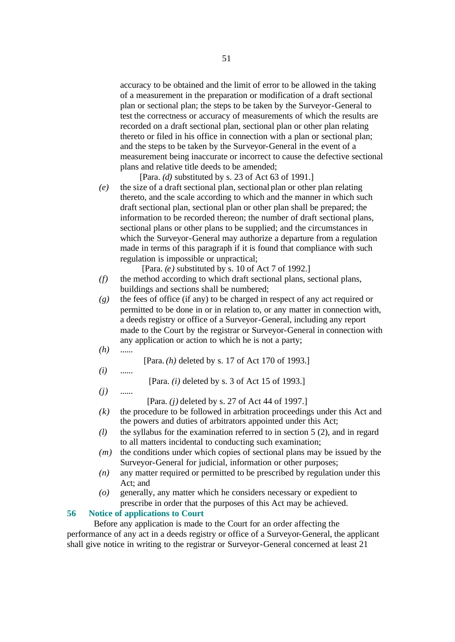accuracy to be obtained and the limit of error to be allowed in the taking of a measurement in the preparation or modification of a draft sectional plan or sectional plan; the steps to be taken by the Surveyor-General to test the correctness or accuracy of measurements of which the results are recorded on a draft sectional plan, sectional plan or other plan relating thereto or filed in his office in connection with a plan or sectional plan; and the steps to be taken by the Surveyor-General in the event of a measurement being inaccurate or incorrect to cause the defective sectional plans and relative title deeds to be amended;

[Para. *(d)* substituted by s. 23 of Act 63 of 1991.]

*(e)* the size of a draft sectional plan, sectional plan or other plan relating thereto, and the scale according to which and the manner in which such draft sectional plan, sectional plan or other plan shall be prepared; the information to be recorded thereon; the number of draft sectional plans, sectional plans or other plans to be supplied; and the circumstances in which the Surveyor-General may authorize a departure from a regulation made in terms of this paragraph if it is found that compliance with such regulation is impossible or unpractical;

[Para. *(e)* substituted by s. 10 of Act 7 of 1992.]

- *(f)* the method according to which draft sectional plans, sectional plans, buildings and sections shall be numbered;
- *(g)* the fees of office (if any) to be charged in respect of any act required or permitted to be done in or in relation to, or any matter in connection with, a deeds registry or office of a Surveyor-General, including any report made to the Court by the registrar or Surveyor-General in connection with any application or action to which he is not a party;
- *(h)* ......
- [Para. *(h)* deleted by s. 17 of Act 170 of 1993.]
- *(i)* ......

[Para. *(i)* deleted by s. 3 of Act 15 of 1993.]

*(j)* ......

[Para. *(j)* deleted by s. 27 of Act 44 of 1997.]

- *(k)* the procedure to be followed in arbitration proceedings under this Act and the powers and duties of arbitrators appointed under this Act;
- *(l)* the syllabus for the examination referred to in section 5 (2), and in regard to all matters incidental to conducting such examination;
- *(m)* the conditions under which copies of sectional plans may be issued by the Surveyor-General for judicial, information or other purposes;
- *(n)* any matter required or permitted to be prescribed by regulation under this Act; and
- *(o)* generally, any matter which he considers necessary or expedient to prescribe in order that the purposes of this Act may be achieved.

# **56 Notice of applications to Court**

Before any application is made to the Court for an order affecting the performance of any act in a deeds registry or office of a Surveyor-General, the applicant shall give notice in writing to the registrar or Surveyor-General concerned at least 21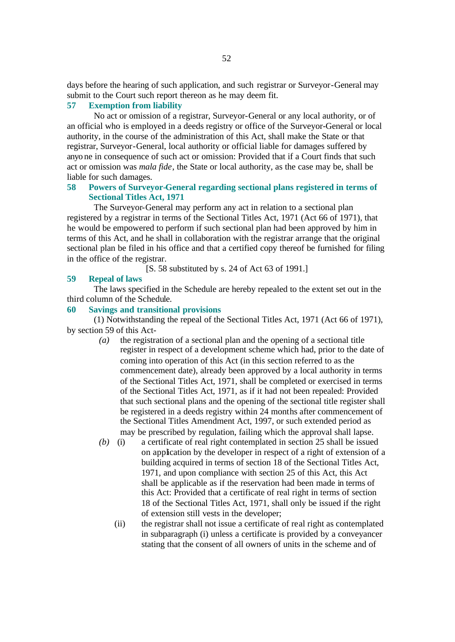days before the hearing of such application, and such registrar or Surveyor-General may submit to the Court such report thereon as he may deem fit.

# **57 Exemption from liability**

No act or omission of a registrar, Surveyor-General or any local authority, or of an official who is employed in a deeds registry or office of the Surveyor-General or local authority, in the course of the administration of this Act, shall make the State or that registrar, Surveyor-General, local authority or official liable for damages suffered by anyo ne in consequence of such act or omission: Provided that if a Court finds that such act or omission was *mala fide*, the State or local authority, as the case may be, shall be liable for such damages.

# **58 Powers of Surveyor-General regarding sectional plans registered in terms of Sectional Titles Act, 1971**

The Surveyor-General may perform any act in relation to a sectional plan registered by a registrar in terms of the Sectional Titles Act, 1971 (Act 66 of 1971), that he would be empowered to perform if such sectional plan had been approved by him in terms of this Act, and he shall in collaboration with the registrar arrange that the original sectional plan be filed in his office and that a certified copy thereof be furnished for filing in the office of the registrar.

[S. 58 substituted by s. 24 of Act 63 of 1991.]

# **59 Repeal of laws**

The laws specified in the Schedule are hereby repealed to the extent set out in the third column of the Schedule.

### **60 Savings and transitional provisions**

(1) Notwithstanding the repeal of the Sectional Titles Act, 1971 (Act 66 of 1971), by section 59 of this Act-

- *(a)* the registration of a sectional plan and the opening of a sectional title register in respect of a development scheme which had, prior to the date of coming into operation of this Act (in this section referred to as the commencement date), already been approved by a local authority in terms of the Sectional Titles Act, 1971, shall be completed or exercised in terms of the Sectional Titles Act, 1971, as if it had not been repealed: Provided that such sectional plans and the opening of the sectional title register shall be registered in a deeds registry within 24 months after commencement of the Sectional Titles Amendment Act, 1997, or such extended period as may be prescribed by regulation, failing which the approval shall lapse.
- *(b)* (i) a certificate of real right contemplated in section 25 shall be issued on application by the developer in respect of a right of extension of a building acquired in terms of section 18 of the Sectional Titles Act, 1971, and upon compliance with section 25 of this Act, this Act shall be applicable as if the reservation had been made in terms of this Act: Provided that a certificate of real right in terms of section 18 of the Sectional Titles Act, 1971, shall only be issued if the right of extension still vests in the developer;
	- (ii) the registrar shall not issue a certificate of real right as contemplated in subparagraph (i) unless a certificate is provided by a conveyancer stating that the consent of all owners of units in the scheme and of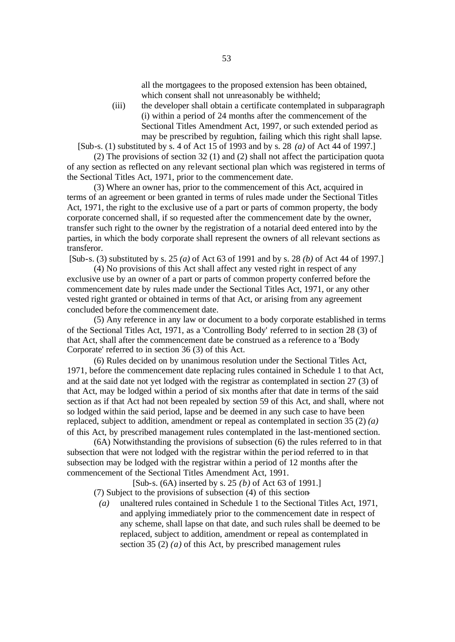all the mortgagees to the proposed extension has been obtained, which consent shall not unreasonably be withheld;

(iii) the developer shall obtain a certificate contemplated in subparagraph (i) within a period of 24 months after the commencement of the Sectional Titles Amendment Act, 1997, or such extended period as may be prescribed by regulation, failing which this right shall lapse.

[Sub-s. (1) substituted by s. 4 of Act 15 of 1993 and by s. 28 *(a)* of Act 44 of 1997.]

(2) The provisions of section 32 (1) and (2) shall not affect the participation quota of any section as reflected on any relevant sectional plan which was registered in terms of the Sectional Titles Act, 1971, prior to the commencement date.

(3) Where an owner has, prior to the commencement of this Act, acquired in terms of an agreement or been granted in terms of rules made under the Sectional Titles Act, 1971, the right to the exclusive use of a part or parts of common property, the body corporate concerned shall, if so requested after the commencement date by the owner, transfer such right to the owner by the registration of a notarial deed entered into by the parties, in which the body corporate shall represent the owners of all relevant sections as transferor.

[Sub-s. (3) substituted by s. 25 *(a)* of Act 63 of 1991 and by s. 28 *(b)* of Act 44 of 1997.]

(4) No provisions of this Act shall affect any vested right in respect of any exclusive use by an owner of a part or parts of common property conferred before the commencement date by rules made under the Sectional Titles Act, 1971, or any other vested right granted or obtained in terms of that Act, or arising from any agreement concluded before the commencement date.

(5) Any reference in any law or document to a body corporate established in terms of the Sectional Titles Act, 1971, as a 'Controlling Body' referred to in section 28 (3) of that Act, shall after the commencement date be construed as a reference to a 'Body Corporate' referred to in section 36 (3) of this Act.

(6) Rules decided on by unanimous resolution under the Sectional Titles Act, 1971, before the commencement date replacing rules contained in Schedule 1 to that Act, and at the said date not yet lodged with the registrar as contemplated in section 27 (3) of that Act, may be lodged within a period of six months after that date in terms of the said section as if that Act had not been repealed by section 59 of this Act, and shall, where not so lodged within the said period, lapse and be deemed in any such case to have been replaced, subject to addition, amendment or repeal as contemplated in section 35 (2) *(a)* of this Act, by prescribed management rules contemplated in the last-mentioned section.

(6A) Notwithstanding the provisions of subsection (6) the rules referred to in that subsection that were not lodged with the registrar within the period referred to in that subsection may be lodged with the registrar within a period of 12 months after the commencement of the Sectional Titles Amendment Act, 1991.

[Sub-s. (6A) inserted by s. 25 *(b)* of Act 63 of 1991.] (7) Subject to the provisions of subsection (4) of this section-

*(a)* unaltered rules contained in Schedule 1 to the Sectional Titles Act, 1971, and applying immediately prior to the commencement date in respect of any scheme, shall lapse on that date, and such rules shall be deemed to be replaced, subject to addition, amendment or repeal as contemplated in section 35 (2) *(a)* of this Act, by prescribed management rules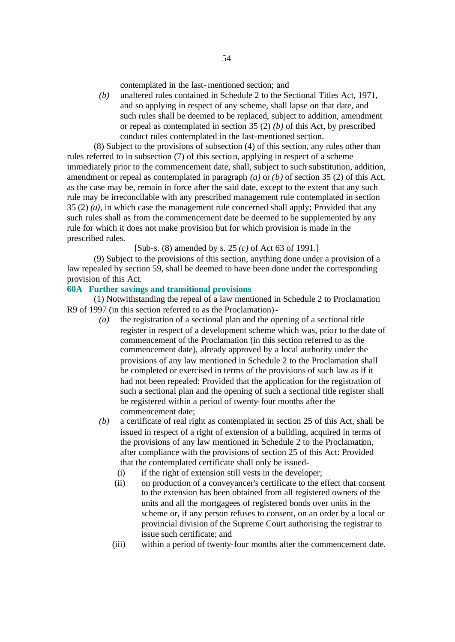contemplated in the last-mentioned section; and

*(b)* unaltered rules contained in Schedule 2 to the Sectional Titles Act, 1971, and so applying in respect of any scheme, shall lapse on that date, and such rules shall be deemed to be replaced, subject to addition, amendment or repeal as contemplated in section 35 (2) *(b)* of this Act, by prescribed conduct rules contemplated in the last-mentioned section.

(8) Subject to the provisions of subsection (4) of this section, any rules other than rules referred to in subsection (7) of this section, applying in respect of a scheme immediately prior to the commencement date, shall, subject to such substitution, addition, amendment or repeal as contemplated in paragraph *(a)* or *(b)* of section 35 (2) of this Act, as the case may be, remain in force after the said date, except to the extent that any such rule may be irreconcilable with any prescribed management rule contemplated in section 35 (2) *(a)*, in which case the management rule concerned shall apply: Provided that any such rules shall as from the commencement date be deemed to be supplemented by any rule for which it does not make provision but for which provision is made in the prescribed rules.

[Sub-s. (8) amended by s. 25 *(c)* of Act 63 of 1991.]

(9) Subject to the provisions of this section, anything done under a provision of a law repealed by section 59, shall be deemed to have been done under the corresponding provision of this Act.

# **60A Further savings and transitional provisions**

(1) Notwithstanding the repeal of a law mentioned in Schedule 2 to Proclamation R9 of 1997 (in this section referred to as the Proclamation)-

- *(a)* the registration of a sectional plan and the opening of a sectional title register in respect of a development scheme which was, prior to the date of commencement of the Proclamation (in this section referred to as the commencement date), already approved by a local authority under the provisions of any law mentioned in Schedule 2 to the Proclamation shall be completed or exercised in terms of the provisions of such law as if it had not been repealed: Provided that the application for the registration of such a sectional plan and the opening of such a sectional title register shall be registered within a period of twenty-four months after the commencement date;
- *(b)* a certificate of real right as contemplated in section 25 of this Act, shall be issued in respect of a right of extension of a building, acquired in terms of the provisions of any law mentioned in Schedule 2 to the Proclamation, after compliance with the provisions of section 25 of this Act: Provided that the contemplated certificate shall only be issued-
	- (i) if the right of extension still vests in the developer;
	- (ii) on production of a conveyancer's certificate to the effect that consent to the extension has been obtained from all registered owners of the units and all the mortgagees of registered bonds over units in the scheme or, if any person refuses to consent, on an order by a local or provincial division of the Supreme Court authorising the registrar to issue such certificate; and
	- (iii) within a period of twenty-four months after the commencement date.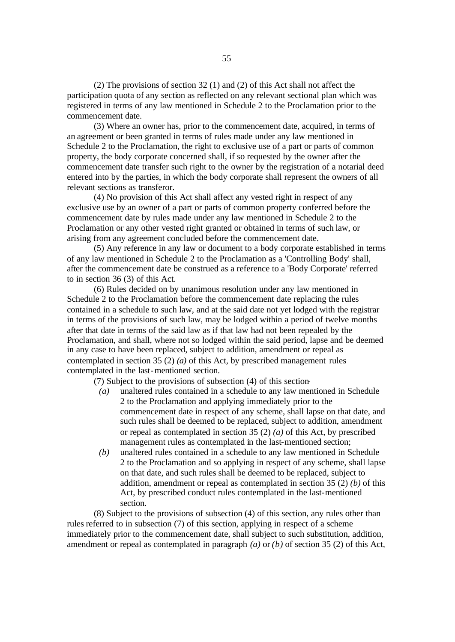(2) The provisions of section 32 (1) and (2) of this Act shall not affect the participation quota of any section as reflected on any relevant sectional plan which was registered in terms of any law mentioned in Schedule 2 to the Proclamation prior to the commencement date.

(3) Where an owner has, prior to the commencement date, acquired, in terms of an agreement or been granted in terms of rules made under any law mentioned in Schedule 2 to the Proclamation, the right to exclusive use of a part or parts of common property, the body corporate concerned shall, if so requested by the owner after the commencement date transfer such right to the owner by the registration of a notarial deed entered into by the parties, in which the body corporate shall represent the owners of all relevant sections as transferor.

(4) No provision of this Act shall affect any vested right in respect of any exclusive use by an owner of a part or parts of common property conferred before the commencement date by rules made under any law mentioned in Schedule 2 to the Proclamation or any other vested right granted or obtained in terms of such law, or arising from any agreement concluded before the commencement date.

(5) Any reference in any law or document to a body corporate established in terms of any law mentioned in Schedule 2 to the Proclamation as a 'Controlling Body' shall, after the commencement date be construed as a reference to a 'Body Corporate' referred to in section 36 (3) of this Act.

(6) Rules decided on by unanimous resolution under any law mentioned in Schedule 2 to the Proclamation before the commencement date replacing the rules contained in a schedule to such law, and at the said date not yet lodged with the registrar in terms of the provisions of such law, may be lodged within a period of twelve months after that date in terms of the said law as if that law had not been repealed by the Proclamation, and shall, where not so lodged within the said period, lapse and be deemed in any case to have been replaced, subject to addition, amendment or repeal as contemplated in section 35 (2) *(a)* of this Act, by prescribed management rules contemplated in the last-mentioned section.

(7) Subject to the provisions of subsection (4) of this section-

- *(a)* unaltered rules contained in a schedule to any law mentioned in Schedule 2 to the Proclamation and applying immediately prior to the commencement date in respect of any scheme, shall lapse on that date, and such rules shall be deemed to be replaced, subject to addition, amendment or repeal as contemplated in section 35 (2) *(a)* of this Act, by prescribed management rules as contemplated in the last-mentioned section;
- *(b)* unaltered rules contained in a schedule to any law mentioned in Schedule 2 to the Proclamation and so applying in respect of any scheme, shall lapse on that date, and such rules shall be deemed to be replaced, subject to addition, amendment or repeal as contemplated in section 35 (2) *(b)* of this Act, by prescribed conduct rules contemplated in the last-mentioned section.

(8) Subject to the provisions of subsection (4) of this section, any rules other than rules referred to in subsection (7) of this section, applying in respect of a scheme immediately prior to the commencement date, shall subject to such substitution, addition, amendment or repeal as contemplated in paragraph *(a)* or *(b)* of section 35 (2) of this Act,